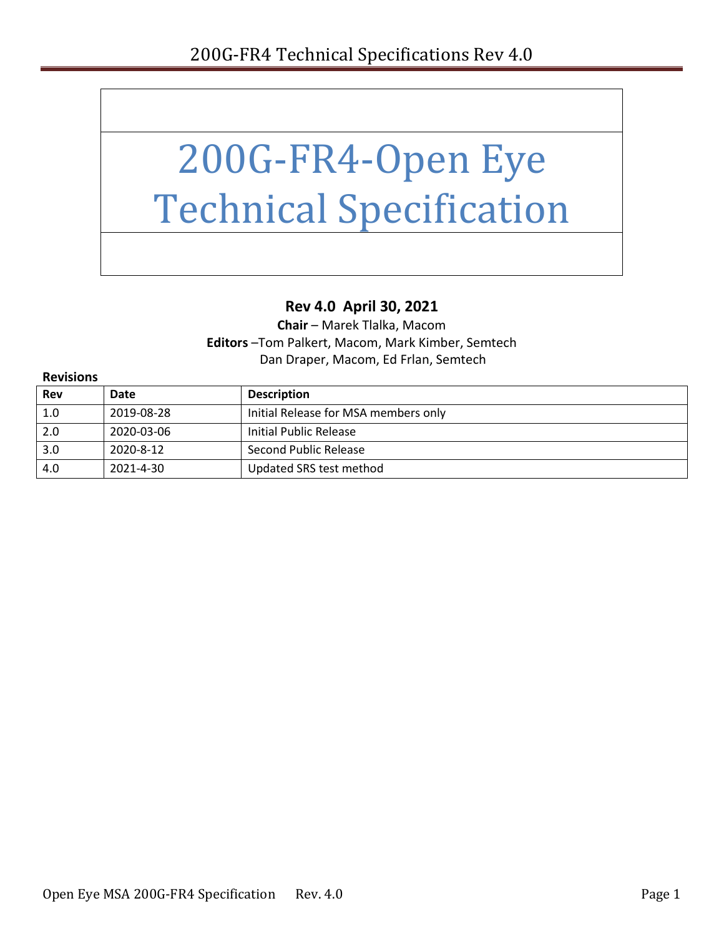

#### **Rev 4.0 April 30, 2021**

**Chair** – Marek Tlalka, Macom **Editors** –Tom Palkert, Macom, Mark Kimber, Semtech Dan Draper, Macom, Ed Frlan, Semtech

| <b>Revisions</b> |            |                                      |  |
|------------------|------------|--------------------------------------|--|
| <b>Rev</b>       | Date       | <b>Description</b>                   |  |
| 1.0              | 2019-08-28 | Initial Release for MSA members only |  |
| 2.0              | 2020-03-06 | Initial Public Release               |  |
| 3.0              | 2020-8-12  | Second Public Release                |  |
| 4.0              | 2021-4-30  | Updated SRS test method              |  |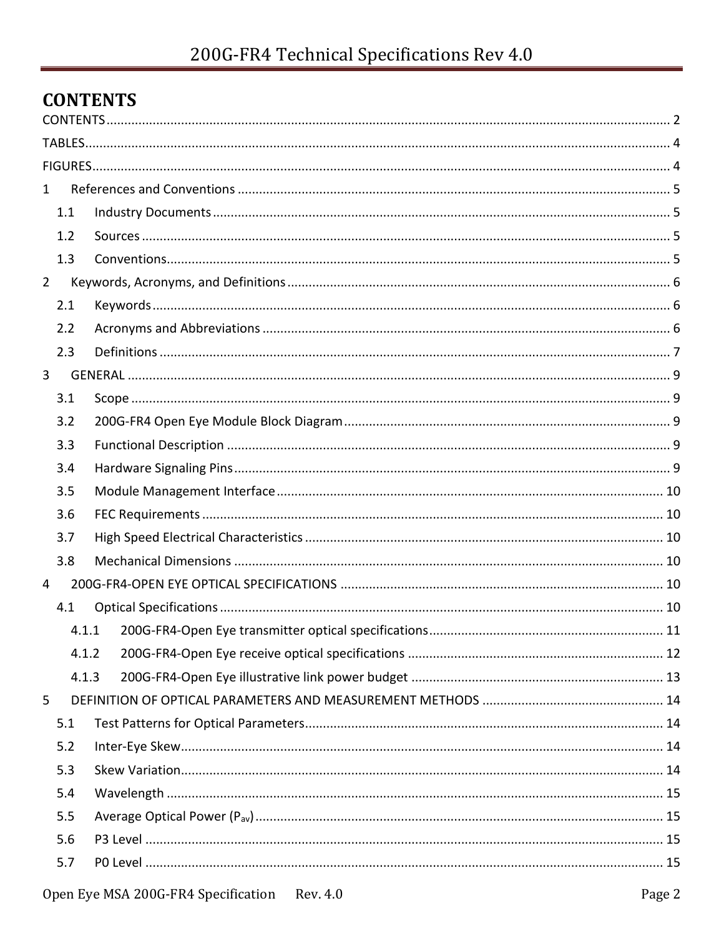## <span id="page-1-0"></span>**CONTENTS**

| $\mathbf{1}$   |       |  |
|----------------|-------|--|
|                | 1.1   |  |
|                | 1.2   |  |
|                | 1.3   |  |
| $\overline{2}$ |       |  |
|                | 2.1   |  |
|                | 2.2   |  |
|                | 2.3   |  |
| 3              |       |  |
|                | 3.1   |  |
|                | 3.2   |  |
|                | 3.3   |  |
|                | 3.4   |  |
|                | 3.5   |  |
|                | 3.6   |  |
|                | 3.7   |  |
|                | 3.8   |  |
| 4              |       |  |
|                | 4.1   |  |
|                | 4.1.1 |  |
|                | 4.1.2 |  |
|                | 4.1.3 |  |
| 5              |       |  |
|                | 5.1   |  |
|                | 5.2   |  |
|                | 5.3   |  |
|                | 5.4   |  |
|                | 5.5   |  |
|                | 5.6   |  |
|                | 5.7   |  |
|                |       |  |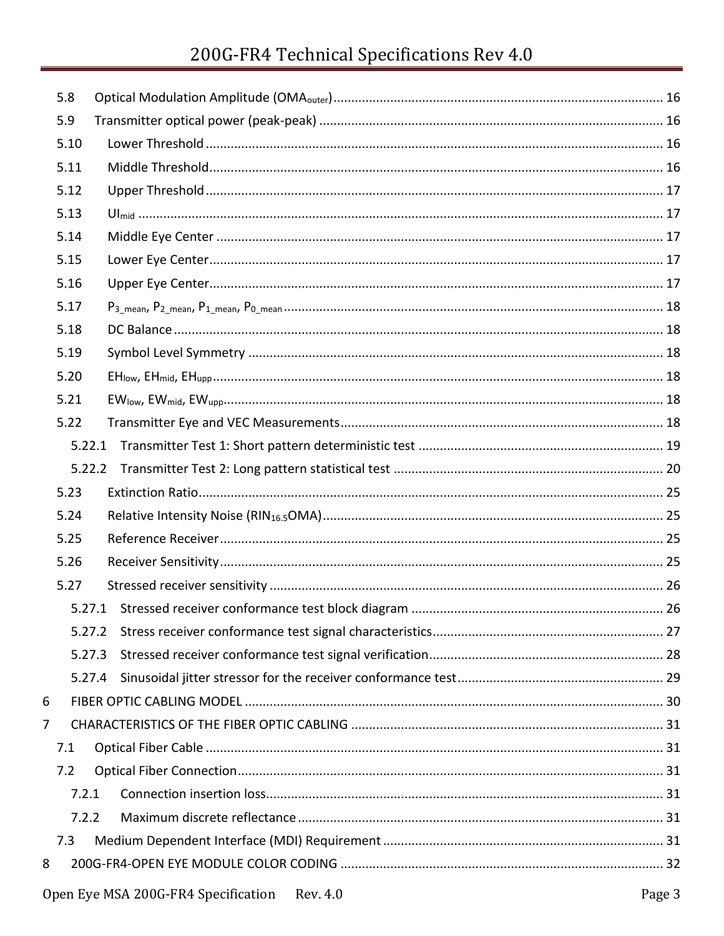# 200G-FR4 Technical Specifications Rev 4.0

|   | 5.8    |  |
|---|--------|--|
|   | 5.9    |  |
|   | 5.10   |  |
|   | 5.11   |  |
|   | 5.12   |  |
|   | 5.13   |  |
|   | 5.14   |  |
|   | 5.15   |  |
|   | 5.16   |  |
|   | 5.17   |  |
|   | 5.18   |  |
|   | 5.19   |  |
|   | 5.20   |  |
|   | 5.21   |  |
|   | 5.22   |  |
|   | 5.22.1 |  |
|   |        |  |
|   | 5.23   |  |
|   | 5.24   |  |
|   | 5.25   |  |
|   | 5.26   |  |
|   | 5.27   |  |
|   |        |  |
|   | 5.27.2 |  |
|   | 5.27.3 |  |
|   | 5.27.4 |  |
| 6 |        |  |
| 7 |        |  |
|   | 7.1    |  |
|   | 7.2    |  |
|   | 7.2.1  |  |
|   | 7.2.2  |  |
|   | 7.3    |  |
| 8 |        |  |
|   |        |  |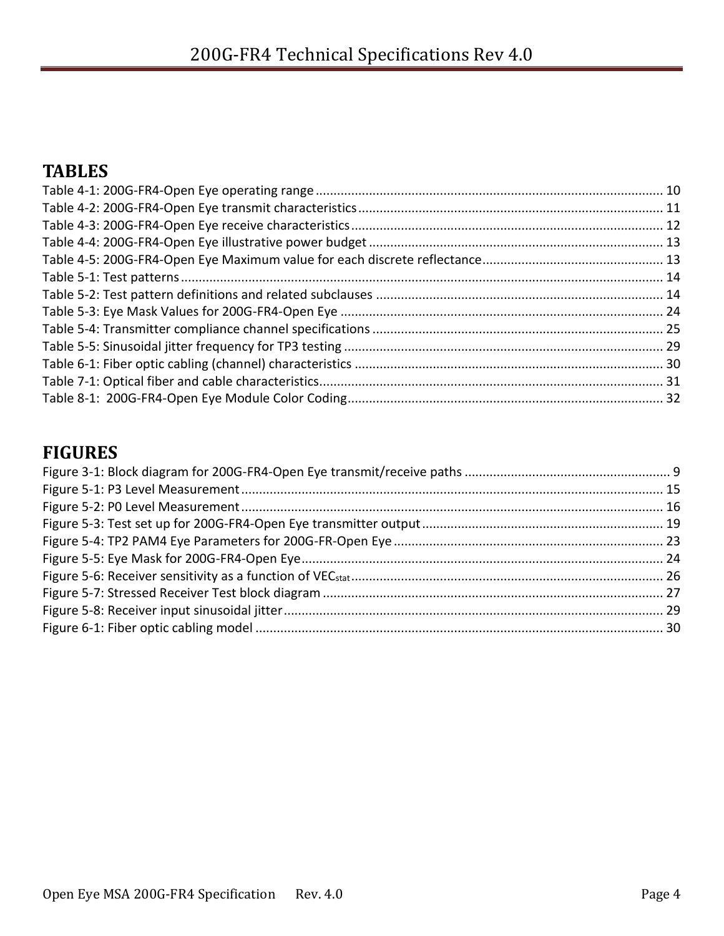## <span id="page-3-0"></span>**TABLES**

## <span id="page-3-1"></span>**FIGURES**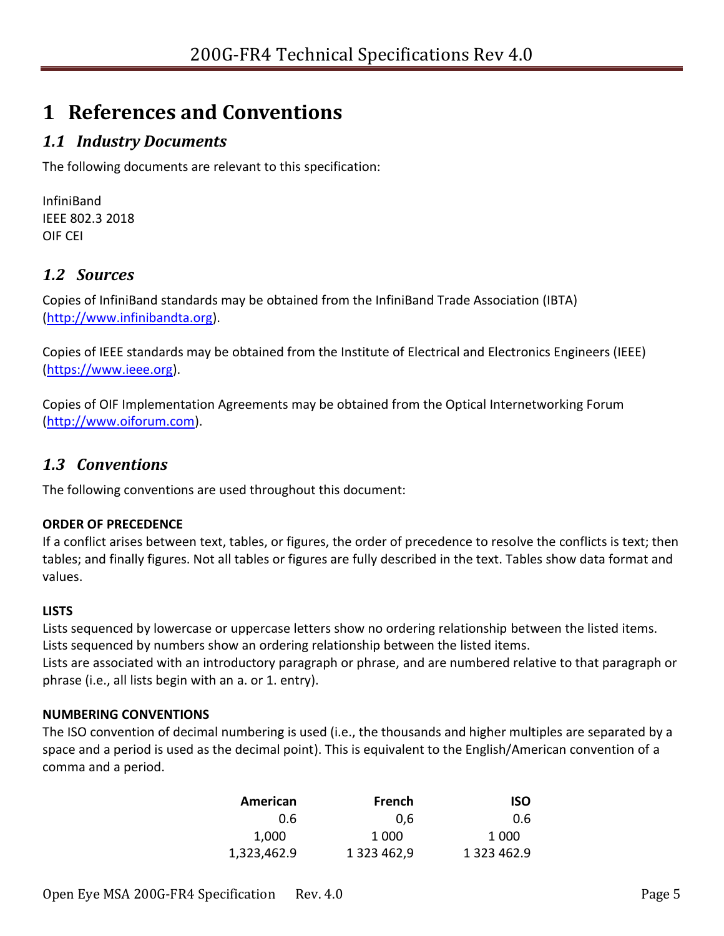# <span id="page-4-0"></span>**1 References and Conventions**

## <span id="page-4-1"></span>*1.1 Industry Documents*

The following documents are relevant to this specification:

InfiniBand IEEE 802.3 2018 OIF CEI

### <span id="page-4-2"></span>*1.2 Sources*

Copies of InfiniBand standards may be obtained from the InfiniBand Trade Association (IBTA) [\(http://www.infinibandta.org\)](http://www.infinibandta.org/).

Copies of IEEE standards may be obtained from the Institute of Electrical and Electronics Engineers (IEEE) [\(https://www.ieee.org\)](https://www.ieee.org/).

Copies of OIF Implementation Agreements may be obtained from the Optical Internetworking Forum [\(http://www.oiforum.com\)](http://www.oiforum.com/).

#### <span id="page-4-3"></span>*1.3 Conventions*

The following conventions are used throughout this document:

#### **ORDER OF PRECEDENCE**

If a conflict arises between text, tables, or figures, the order of precedence to resolve the conflicts is text; then tables; and finally figures. Not all tables or figures are fully described in the text. Tables show data format and values.

#### **LISTS**

Lists sequenced by lowercase or uppercase letters show no ordering relationship between the listed items. Lists sequenced by numbers show an ordering relationship between the listed items.

Lists are associated with an introductory paragraph or phrase, and are numbered relative to that paragraph or phrase (i.e., all lists begin with an a. or 1. entry).

#### **NUMBERING CONVENTIONS**

The ISO convention of decimal numbering is used (i.e., the thousands and higher multiples are separated by a space and a period is used as the decimal point). This is equivalent to the English/American convention of a comma and a period.

| American    | French      | <b>ISO</b>  |
|-------------|-------------|-------------|
| 0.6         | 0.6         | 0.6         |
| 1,000       | 1 0 0 0     | 1 0 0 0     |
| 1,323,462.9 | 1 323 462,9 | 1 323 462.9 |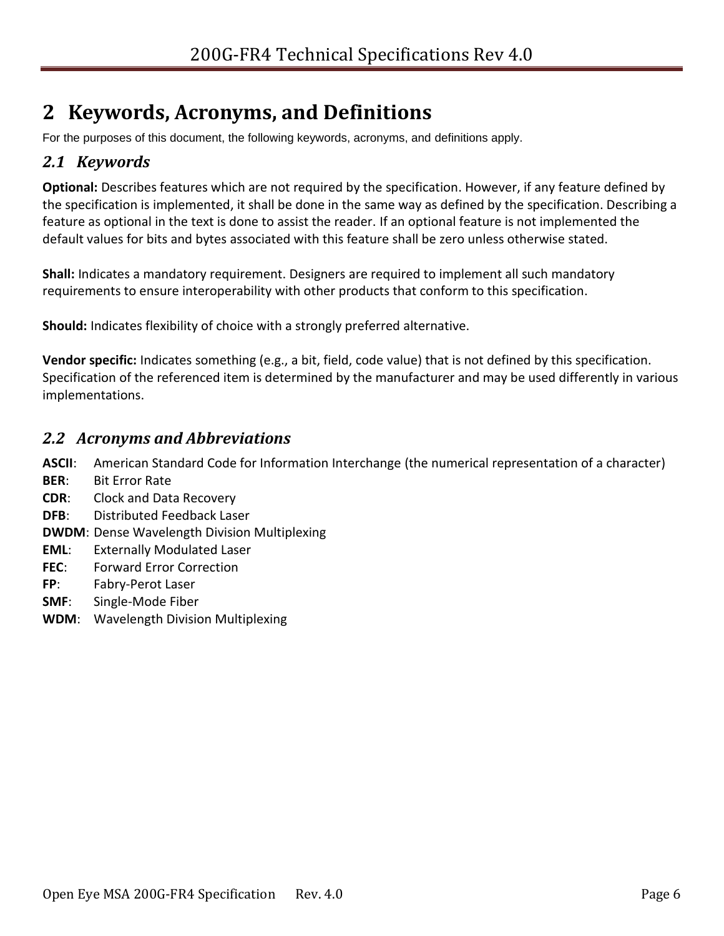# <span id="page-5-0"></span>**2 Keywords, Acronyms, and Definitions**

For the purposes of this document, the following keywords, acronyms, and definitions apply.

#### <span id="page-5-1"></span>*2.1 Keywords*

**Optional:** Describes features which are not required by the specification. However, if any feature defined by the specification is implemented, it shall be done in the same way as defined by the specification. Describing a feature as optional in the text is done to assist the reader. If an optional feature is not implemented the default values for bits and bytes associated with this feature shall be zero unless otherwise stated.

**Shall:** Indicates a mandatory requirement. Designers are required to implement all such mandatory requirements to ensure interoperability with other products that conform to this specification.

**Should:** Indicates flexibility of choice with a strongly preferred alternative.

**Vendor specific:** Indicates something (e.g., a bit, field, code value) that is not defined by this specification. Specification of the referenced item is determined by the manufacturer and may be used differently in various implementations.

#### <span id="page-5-2"></span>*2.2 Acronyms and Abbreviations*

**ASCII**: American Standard Code for Information Interchange (the numerical representation of a character)

- **BER**: Bit Error Rate
- **CDR**: Clock and Data Recovery
- **DFB**: Distributed Feedback Laser
- **DWDM**: Dense Wavelength Division Multiplexing
- **EML**: Externally Modulated Laser
- **FEC**: Forward Error Correction
- **FP**: Fabry-Perot Laser
- **SMF**: Single-Mode Fiber
- **WDM**: Wavelength Division Multiplexing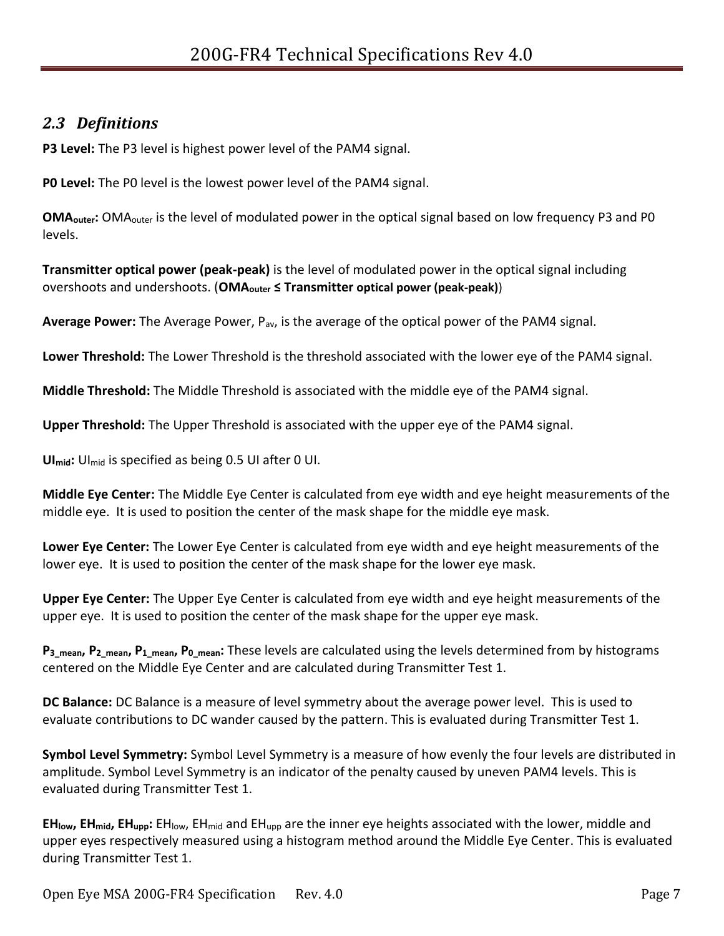#### <span id="page-6-0"></span>*2.3 Definitions*

**P3 Level:** The P3 level is highest power level of the PAM4 signal.

**P0 Level:** The P0 level is the lowest power level of the PAM4 signal.

**OMA<sub>outer</sub>:** OMA<sub>outer</sub> is the level of modulated power in the optical signal based on low frequency P3 and P0 levels.

**Transmitter optical power (peak-peak)** is the level of modulated power in the optical signal including overshoots and undershoots. (**OMAouter ≤ Transmitter optical power (peak-peak)**)

**Average Power:** The Average Power, Pav, is the average of the optical power of the PAM4 signal.

**Lower Threshold:** The Lower Threshold is the threshold associated with the lower eye of the PAM4 signal.

**Middle Threshold:** The Middle Threshold is associated with the middle eye of the PAM4 signal.

**Upper Threshold:** The Upper Threshold is associated with the upper eye of the PAM4 signal.

**UImid:** UImid is specified as being 0.5 UI after 0 UI.

**Middle Eye Center:** The Middle Eye Center is calculated from eye width and eye height measurements of the middle eye. It is used to position the center of the mask shape for the middle eye mask.

**Lower Eye Center:** The Lower Eye Center is calculated from eye width and eye height measurements of the lower eye. It is used to position the center of the mask shape for the lower eye mask.

**Upper Eye Center:** The Upper Eye Center is calculated from eye width and eye height measurements of the upper eye. It is used to position the center of the mask shape for the upper eye mask.

**P3\_mean, P2\_mean, P1\_mean, P0\_mean:** These levels are calculated using the levels determined from by histograms centered on the Middle Eye Center and are calculated during Transmitter Test 1.

**DC Balance:** DC Balance is a measure of level symmetry about the average power level. This is used to evaluate contributions to DC wander caused by the pattern. This is evaluated during Transmitter Test 1.

**Symbol Level Symmetry:** Symbol Level Symmetry is a measure of how evenly the four levels are distributed in amplitude. Symbol Level Symmetry is an indicator of the penalty caused by uneven PAM4 levels. This is evaluated during Transmitter Test 1.

**EHlow, EHmid, EHupp:** EHlow, EHmid and EHupp are the inner eye heights associated with the lower, middle and upper eyes respectively measured using a histogram method around the Middle Eye Center. This is evaluated during Transmitter Test 1.

Open Eye MSA 200G-FR4 Specification Rev. 4.0 Page 7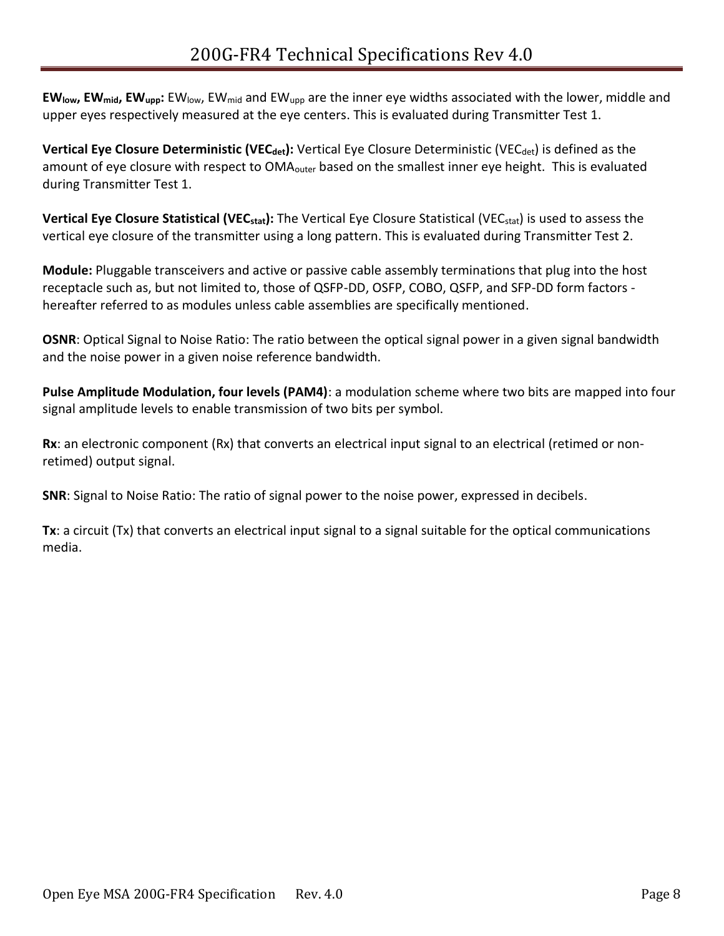**EWlow, EWmid, EWupp:** EWlow, EWmid and EWupp are the inner eye widths associated with the lower, middle and upper eyes respectively measured at the eye centers. This is evaluated during Transmitter Test 1.

**Vertical Eye Closure Deterministic (VEC<sub>det</sub>):** Vertical Eye Closure Deterministic (VEC<sub>det</sub>) is defined as the amount of eye closure with respect to OMA<sub>outer</sub> based on the smallest inner eye height. This is evaluated during Transmitter Test 1.

**Vertical Eye Closure Statistical (VECstat):** The Vertical Eye Closure Statistical (VECstat) is used to assess the vertical eye closure of the transmitter using a long pattern. This is evaluated during Transmitter Test 2.

**Module:** Pluggable transceivers and active or passive cable assembly terminations that plug into the host receptacle such as, but not limited to, those of QSFP-DD, OSFP, COBO, QSFP, and SFP-DD form factors hereafter referred to as modules unless cable assemblies are specifically mentioned.

**OSNR**: Optical Signal to Noise Ratio: The ratio between the optical signal power in a given signal bandwidth and the noise power in a given noise reference bandwidth.

**Pulse Amplitude Modulation, four levels (PAM4)**: a modulation scheme where two bits are mapped into four signal amplitude levels to enable transmission of two bits per symbol.

**Rx**: an electronic component (Rx) that converts an electrical input signal to an electrical (retimed or nonretimed) output signal.

**SNR**: Signal to Noise Ratio: The ratio of signal power to the noise power, expressed in decibels.

**Tx**: a circuit (Tx) that converts an electrical input signal to a signal suitable for the optical communications media.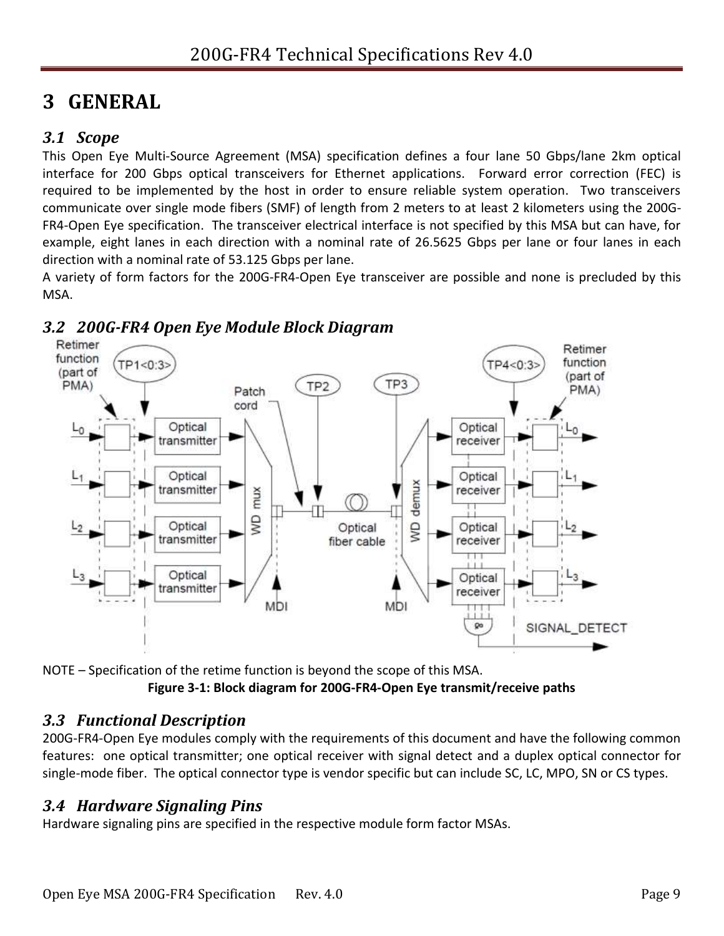# <span id="page-8-0"></span>**3 GENERAL**

#### <span id="page-8-1"></span>*3.1 Scope*

This Open Eye Multi-Source Agreement (MSA) specification defines a four lane 50 Gbps/lane 2km optical interface for 200 Gbps optical transceivers for Ethernet applications. Forward error correction (FEC) is required to be implemented by the host in order to ensure reliable system operation. Two transceivers communicate over single mode fibers (SMF) of length from 2 meters to at least 2 kilometers using the 200G-FR4-Open Eye specification. The transceiver electrical interface is not specified by this MSA but can have, for example, eight lanes in each direction with a nominal rate of 26.5625 Gbps per lane or four lanes in each direction with a nominal rate of 53.125 Gbps per lane.

A variety of form factors for the 200G-FR4-Open Eye transceiver are possible and none is precluded by this MSA.



#### <span id="page-8-2"></span>*3.2 200G-FR4 Open Eye Module Block Diagram*

<span id="page-8-5"></span>NOTE – Specification of the retime function is beyond the scope of this MSA. **Figure 3-1: Block diagram for 200G-FR4-Open Eye transmit/receive paths**

#### <span id="page-8-3"></span>*3.3 Functional Description*

200G-FR4-Open Eye modules comply with the requirements of this document and have the following common features: one optical transmitter; one optical receiver with signal detect and a duplex optical connector for single-mode fiber. The optical connector type is vendor specific but can include SC, LC, MPO, SN or CS types.

#### <span id="page-8-4"></span>*3.4 Hardware Signaling Pins*

Hardware signaling pins are specified in the respective module form factor MSAs.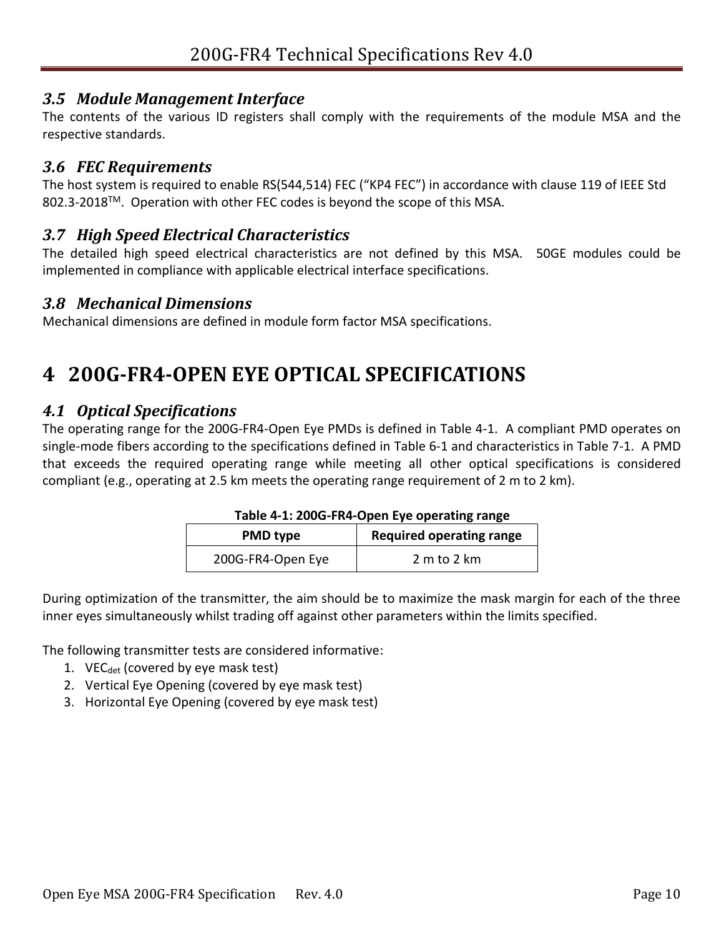#### <span id="page-9-0"></span>*3.5 Module Management Interface*

The contents of the various ID registers shall comply with the requirements of the module MSA and the respective standards.

#### <span id="page-9-1"></span>*3.6 FEC Requirements*

The host system is required to enable RS(544,514) FEC ("KP4 FEC") in accordance with clause 119 of IEEE Std 802.3-2018™. Operation with other FEC codes is beyond the scope of this MSA.

#### <span id="page-9-2"></span>*3.7 High Speed Electrical Characteristics*

The detailed high speed electrical characteristics are not defined by this MSA. 50GE modules could be implemented in compliance with applicable electrical interface specifications.

#### <span id="page-9-3"></span>*3.8 Mechanical Dimensions*

Mechanical dimensions are defined in module form factor MSA specifications.

# <span id="page-9-4"></span>**4 200G-FR4-OPEN EYE OPTICAL SPECIFICATIONS**

#### <span id="page-9-5"></span>*4.1 Optical Specifications*

The operating range for the 200G-FR4-Open Eye PMDs is defined in [Table 4-1.](#page-9-6) A compliant PMD operates on single-mode fibers according to the specifications defined in [Table 6-1](#page-29-1) and characteristics in [Table 7-1.](#page-30-6) A PMD that exceeds the required operating range while meeting all other optical specifications is considered compliant (e.g., operating at 2.5 km meets the operating range requirement of 2 m to 2 km).

#### **Table 4-1: 200G-FR4-Open Eye operating range**

| <b>PMD type</b>   | <b>Required operating range</b> |
|-------------------|---------------------------------|
| 200G-FR4-Open Eye | 2 m to 2 km                     |

<span id="page-9-6"></span>During optimization of the transmitter, the aim should be to maximize the mask margin for each of the three inner eyes simultaneously whilst trading off against other parameters within the limits specified.

The following transmitter tests are considered informative:

- 1. VE $C_{\text{det}}$  (covered by eye mask test)
- 2. Vertical Eye Opening (covered by eye mask test)
- 3. Horizontal Eye Opening (covered by eye mask test)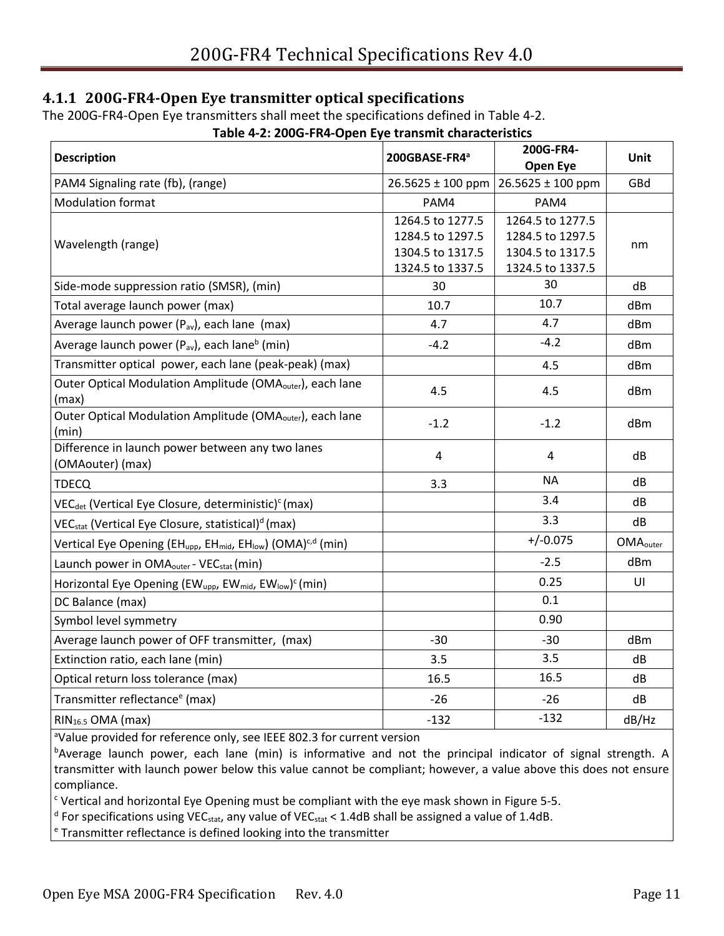#### <span id="page-10-0"></span>**4.1.1 200G-FR4-Open Eye transmitter optical specifications**

<span id="page-10-1"></span>The 200G-FR4-Open Eye transmitters shall meet the specifications defined in [Table 4-2.](#page-10-1)

| <b>Description</b>                                                                                           | 200GBASE-FR4ª                                                                | 200G-FR4-<br>Open Eye                                                        | Unit                        |
|--------------------------------------------------------------------------------------------------------------|------------------------------------------------------------------------------|------------------------------------------------------------------------------|-----------------------------|
| PAM4 Signaling rate (fb), (range)                                                                            | 26.5625 ± 100 ppm                                                            | 26.5625 ± 100 ppm                                                            | GBd                         |
| <b>Modulation format</b>                                                                                     | PAM4                                                                         | PAM4                                                                         |                             |
| Wavelength (range)                                                                                           | 1264.5 to 1277.5<br>1284.5 to 1297.5<br>1304.5 to 1317.5<br>1324.5 to 1337.5 | 1264.5 to 1277.5<br>1284.5 to 1297.5<br>1304.5 to 1317.5<br>1324.5 to 1337.5 | nm                          |
| Side-mode suppression ratio (SMSR), (min)                                                                    | 30                                                                           | 30                                                                           | dB                          |
| Total average launch power (max)                                                                             | 10.7                                                                         | 10.7                                                                         | dBm                         |
| Average launch power (P <sub>av</sub> ), each lane (max)                                                     | 4.7                                                                          | 4.7                                                                          | dBm                         |
| Average launch power (P <sub>av</sub> ), each lane <sup>b</sup> (min)                                        | $-4.2$                                                                       | $-4.2$                                                                       | dBm                         |
| Transmitter optical power, each lane (peak-peak) (max)                                                       |                                                                              | 4.5                                                                          | dBm                         |
| Outer Optical Modulation Amplitude (OMA <sub>outer</sub> ), each lane<br>(max)                               | 4.5                                                                          | 4.5                                                                          | dBm                         |
| Outer Optical Modulation Amplitude (OMA <sub>outer</sub> ), each lane<br>(min)                               | $-1.2$                                                                       | $-1.2$                                                                       | dBm                         |
| Difference in launch power between any two lanes<br>(OMAouter) (max)                                         | $\overline{4}$                                                               | 4                                                                            | dB                          |
| <b>TDECQ</b>                                                                                                 | 3.3                                                                          | <b>NA</b>                                                                    | dB                          |
| VEC <sub>det</sub> (Vertical Eye Closure, deterministic) <sup>c</sup> (max)                                  |                                                                              | 3.4                                                                          | dB                          |
| VEC <sub>stat</sub> (Vertical Eye Closure, statistical) <sup>d</sup> (max)                                   |                                                                              | 3.3                                                                          | dB                          |
| Vertical Eye Opening (EH <sub>upp</sub> , EH <sub>mid</sub> , EH <sub>low</sub> ) (OMA) <sup>c,d</sup> (min) |                                                                              | $+/-0.075$                                                                   | <b>OMA</b> <sub>outer</sub> |
| Launch power in OMA <sub>outer</sub> - VEC <sub>stat</sub> (min)                                             |                                                                              | $-2.5$                                                                       | dBm                         |
| Horizontal Eye Opening (EW <sub>upp</sub> , EW <sub>mid</sub> , EW <sub>low</sub> ) <sup>c</sup> (min)       |                                                                              | 0.25                                                                         | UI                          |
| DC Balance (max)                                                                                             |                                                                              | 0.1                                                                          |                             |
| Symbol level symmetry                                                                                        |                                                                              | 0.90                                                                         |                             |
| Average launch power of OFF transmitter, (max)                                                               | $-30$                                                                        | $-30$                                                                        | dBm                         |
| Extinction ratio, each lane (min)                                                                            | 3.5                                                                          | 3.5                                                                          | dB                          |
| Optical return loss tolerance (max)                                                                          | 16.5                                                                         | 16.5                                                                         | dB                          |
| Transmitter reflectance <sup>e</sup> (max)                                                                   | $-26$                                                                        | $-26$                                                                        | dB                          |
| RIN <sub>16.5</sub> OMA (max)                                                                                | $-132$                                                                       | $-132$                                                                       | dB/Hz                       |

#### **Table 4-2: 200G-FR4-Open Eye transmit characteristics**

<sup>a</sup>Value provided for reference only, see IEEE 802.3 for current version

bAverage launch power, each lane (min) is informative and not the principal indicator of signal strength. A transmitter with launch power below this value cannot be compliant; however, a value above this does not ensure compliance.

 $c$  Vertical and horizontal Eye Opening must be compliant with the eye mask shown i[n Figure 5-5.](#page-23-1)

 $^{\text{d}}$  For specifications using VEC<sub>stat</sub>, any value of VEC<sub>stat</sub> < 1.4dB shall be assigned a value of 1.4dB.

<sup>e</sup> Transmitter reflectance is defined looking into the transmitter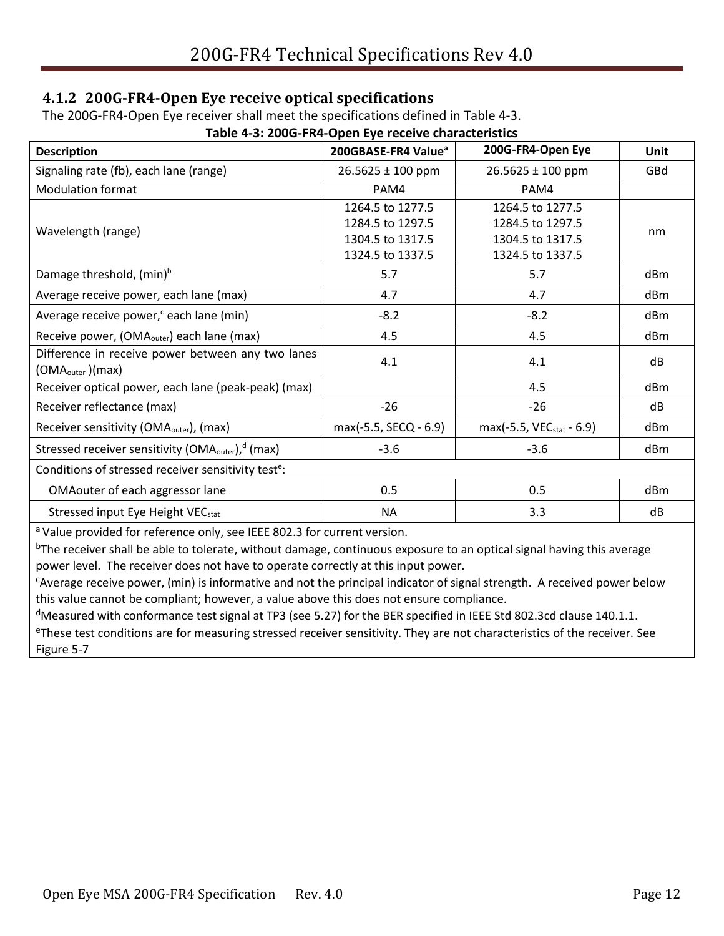#### <span id="page-11-0"></span>**4.1.2 200G-FR4-Open Eye receive optical specifications**

The 200G-FR4-Open Eye receiver shall meet the specifications defined in [Table 4-3.](#page-11-1)

<span id="page-11-1"></span>

| Table 4-3: 200G-FR4-Open Eye receive characteristics                              |                                 |                                      |                 |  |  |
|-----------------------------------------------------------------------------------|---------------------------------|--------------------------------------|-----------------|--|--|
| <b>Description</b>                                                                | 200GBASE-FR4 Value <sup>a</sup> | 200G-FR4-Open Eye                    | Unit            |  |  |
| Signaling rate (fb), each lane (range)                                            | $26.5625 \pm 100$ ppm           | $26.5625 \pm 100$ ppm                | GBd             |  |  |
| <b>Modulation format</b>                                                          | PAM4                            | PAM4                                 |                 |  |  |
|                                                                                   | 1264.5 to 1277.5                | 1264.5 to 1277.5                     |                 |  |  |
| Wavelength (range)                                                                | 1284.5 to 1297.5                | 1284.5 to 1297.5                     | nm              |  |  |
|                                                                                   | 1304.5 to 1317.5                | 1304.5 to 1317.5                     |                 |  |  |
|                                                                                   | 1324.5 to 1337.5                | 1324.5 to 1337.5                     |                 |  |  |
| Damage threshold, (min) <sup>b</sup>                                              | 5.7                             | 5.7                                  | dB <sub>m</sub> |  |  |
| Average receive power, each lane (max)                                            | 4.7                             | 4.7                                  | dBm             |  |  |
| Average receive power, <sup>c</sup> each lane (min)                               | $-8.2$                          | $-8.2$                               | dB <sub>m</sub> |  |  |
| Receive power, (OMA <sub>outer</sub> ) each lane (max)                            | 4.5                             | 4.5                                  | dBm             |  |  |
| Difference in receive power between any two lanes<br>(OMA <sub>outer</sub> )(max) | 4.1                             | 4.1                                  | dB              |  |  |
| Receiver optical power, each lane (peak-peak) (max)                               |                                 | 4.5                                  | dBm             |  |  |
| Receiver reflectance (max)                                                        | $-26$                           | $-26$                                | dB              |  |  |
| Receiver sensitivity (OMA <sub>outer</sub> ), (max)                               | max(-5.5, SECQ - 6.9)           | max(-5.5, VEC <sub>stat</sub> - 6.9) | dBm             |  |  |
| Stressed receiver sensitivity (OMA <sub>outer</sub> ), <sup>d</sup> (max)         | $-3.6$                          | $-3.6$                               | dB <sub>m</sub> |  |  |
| Conditions of stressed receiver sensitivity test <sup>e</sup> :                   |                                 |                                      |                 |  |  |
| OMAouter of each aggressor lane                                                   | 0.5                             | 0.5                                  | dBm             |  |  |
| Stressed input Eye Height VEC <sub>stat</sub>                                     | ΝA                              | 3.3                                  | dB              |  |  |

a Value provided for reference only, see IEEE 802.3 for current version.

<sup>b</sup>The receiver shall be able to tolerate, without damage, continuous exposure to an optical signal having this average power level. The receiver does not have to operate correctly at this input power.

<sup>c</sup>Average receive power, (min) is informative and not the principal indicator of signal strength. A received power below this value cannot be compliant; however, a value above this does not ensure compliance.

 $d$ Measured with conformance test signal at TP3 (see [5.27\)](#page-25-0) for the BER specified in IEEE Std 802.3cd clause 140.1.1. eThese test conditions are for measuring stressed receiver sensitivity. They are not characteristics of the receiver. See [Figure 5-7](#page-26-1)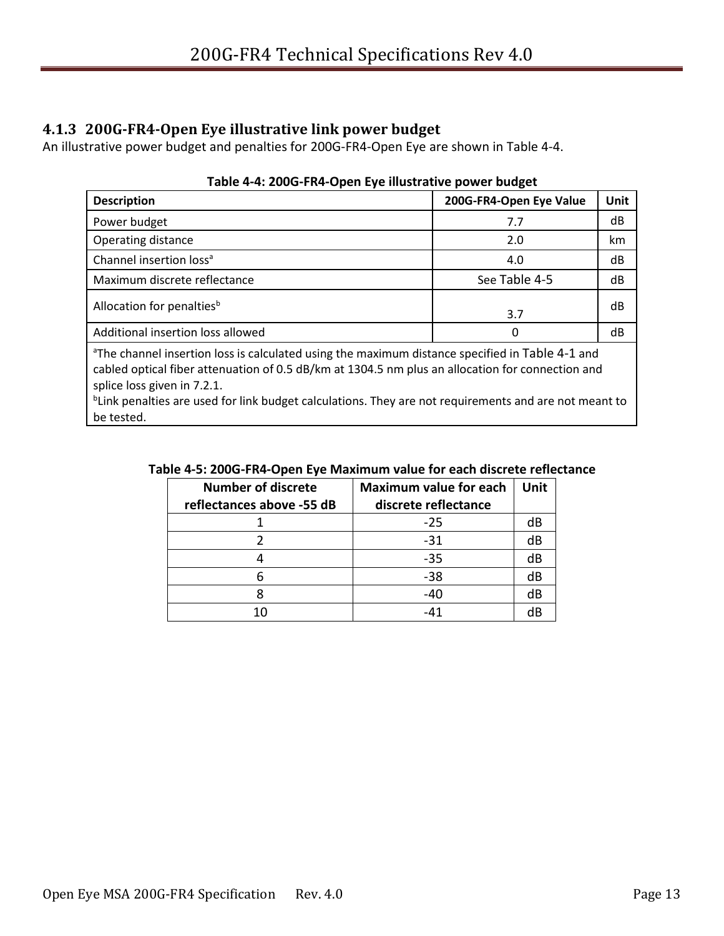#### <span id="page-12-0"></span>**4.1.3 200G-FR4-Open Eye illustrative link power budget**

<span id="page-12-1"></span>An illustrative power budget and penalties for 200G-FR4-Open Eye are shown in [Table 4-4.](#page-12-1)

| <b>Description</b>                                                                                                                                                                                                                                                                                                                                                                | 200G-FR4-Open Eye Value | <b>Unit</b> |  |  |
|-----------------------------------------------------------------------------------------------------------------------------------------------------------------------------------------------------------------------------------------------------------------------------------------------------------------------------------------------------------------------------------|-------------------------|-------------|--|--|
| Power budget                                                                                                                                                                                                                                                                                                                                                                      | 7.7                     | dB          |  |  |
| Operating distance                                                                                                                                                                                                                                                                                                                                                                | 2.0                     | km          |  |  |
| Channel insertion loss <sup>a</sup>                                                                                                                                                                                                                                                                                                                                               | 4.0                     | dB          |  |  |
| Maximum discrete reflectance                                                                                                                                                                                                                                                                                                                                                      | See Table 4-5           | dB          |  |  |
| Allocation for penalties <sup>b</sup>                                                                                                                                                                                                                                                                                                                                             | 3.7                     | dB          |  |  |
| Additional insertion loss allowed                                                                                                                                                                                                                                                                                                                                                 | 0                       | dB          |  |  |
| <sup>a</sup> The channel insertion loss is calculated using the maximum distance specified in Table 4-1 and<br>cabled optical fiber attenuation of 0.5 dB/km at 1304.5 nm plus an allocation for connection and<br>splice loss given in 7.2.1.<br><sup>b</sup> Link penalties are used for link budget calculations. They are not requirements and are not meant to<br>be tested. |                         |             |  |  |

#### **Table 4-4: 200G-FR4-Open Eye illustrative power budget**

| <b>Number of discrete</b><br>reflectances above -55 dB | <b>Maximum value for each</b><br>discrete reflectance | <b>Unit</b> |
|--------------------------------------------------------|-------------------------------------------------------|-------------|
|                                                        | -25                                                   | dB          |
|                                                        | $-31$                                                 | dB          |
|                                                        | $-35$                                                 | dB          |
|                                                        | $-38$                                                 | dB          |
|                                                        | -40                                                   | dB          |
|                                                        | -41                                                   | dR          |

#### <span id="page-12-2"></span>**Table 4-5: 200G-FR4-Open Eye Maximum value for each discrete reflectance**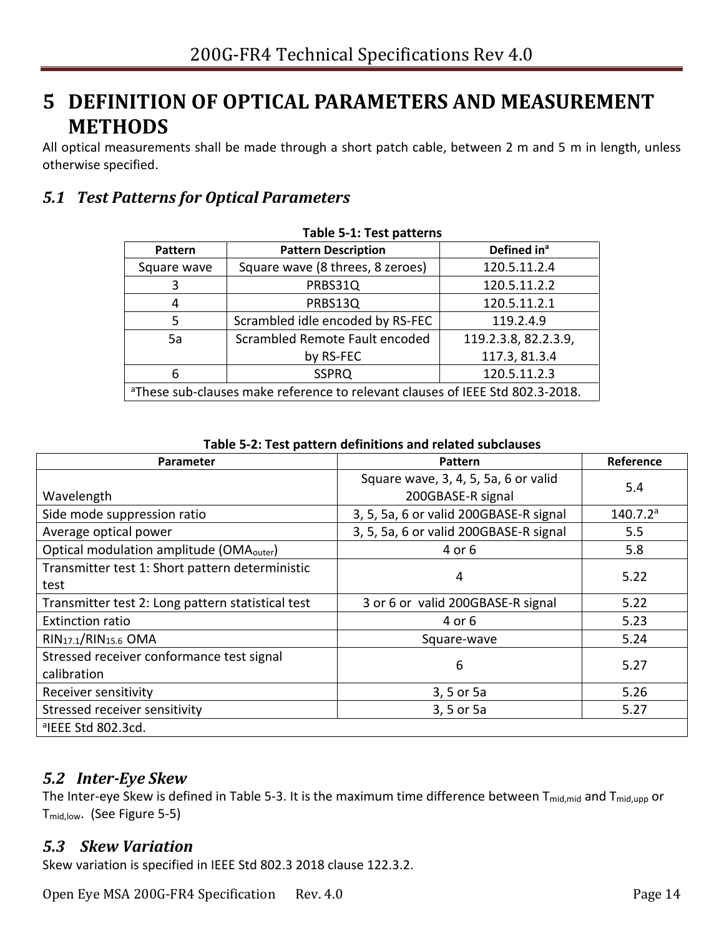## <span id="page-13-0"></span>**5 DEFINITION OF OPTICAL PARAMETERS AND MEASUREMENT METHODS**

All optical measurements shall be made through a short patch cable, between 2 m and 5 m in length, unless otherwise specified.

### <span id="page-13-4"></span><span id="page-13-1"></span>*5.1 Test Patterns for Optical Parameters*

| LAMIC J-T' LEST NAMELIIS                                                                  |                                  |                         |  |  |
|-------------------------------------------------------------------------------------------|----------------------------------|-------------------------|--|--|
| <b>Pattern</b>                                                                            | <b>Pattern Description</b>       | Defined in <sup>a</sup> |  |  |
| Square wave                                                                               | Square wave (8 threes, 8 zeroes) | 120.5.11.2.4            |  |  |
| 3                                                                                         | PRBS31Q                          | 120.5.11.2.2            |  |  |
| 4                                                                                         | PRBS13Q                          | 120.5.11.2.1            |  |  |
| 5                                                                                         | Scrambled idle encoded by RS-FEC | 119.2.4.9               |  |  |
| 5a                                                                                        | Scrambled Remote Fault encoded   | 119.2.3.8, 82.2.3.9,    |  |  |
|                                                                                           | by RS-FEC                        | 117.3, 81.3.4           |  |  |
| 6                                                                                         | <b>SSPRQ</b>                     | 120.5.11.2.3            |  |  |
| <sup>a</sup> These sub-clauses make reference to relevant clauses of IEEE Std 802.3-2018. |                                  |                         |  |  |

#### **Table 5-1: Test patterns**

<span id="page-13-5"></span>

| Table 5-2: Test pattern definitions and related subclauses |                                                           |                      |  |
|------------------------------------------------------------|-----------------------------------------------------------|----------------------|--|
| Parameter                                                  | Reference<br>Pattern                                      |                      |  |
| Wavelength                                                 | Square wave, 3, 4, 5, 5a, 6 or valid<br>200GBASE-R signal | 5.4                  |  |
| Side mode suppression ratio                                | 3, 5, 5a, 6 or valid 200GBASE-R signal                    | 140.7.2 <sup>a</sup> |  |
| Average optical power                                      | 3, 5, 5a, 6 or valid 200GBASE-R signal                    | 5.5                  |  |
| Optical modulation amplitude (OMA <sub>outer</sub> )       | 4 or 6                                                    | 5.8                  |  |
| Transmitter test 1: Short pattern deterministic<br>test    | 4                                                         | 5.22                 |  |
| Transmitter test 2: Long pattern statistical test          | 3 or 6 or valid 200GBASE-R signal                         | 5.22                 |  |
| <b>Extinction ratio</b>                                    | 4 or 6                                                    | 5.23                 |  |
| RIN <sub>17.1</sub> /RIN <sub>15.6</sub> OMA               | Square-wave                                               | 5.24                 |  |
| Stressed receiver conformance test signal<br>calibration   | 6                                                         | 5.27                 |  |
| Receiver sensitivity                                       | 3, 5 or 5a                                                | 5.26                 |  |
| Stressed receiver sensitivity                              | 3, 5 or 5a                                                | 5.27                 |  |
| <sup>a</sup> IEEE Std 802.3cd.                             |                                                           |                      |  |

**Table 5-2: Test pattern definitions and related subclauses**

#### <span id="page-13-2"></span>*5.2 Inter-Eye Skew*

The Inter-eye Skew is defined in [Table 5-3.](#page-23-0) It is the maximum time difference between T<sub>mid,mid</sub> and T<sub>mid,upp</sub> or Tmid,low. (See [Figure 5-5\)](#page-23-1)

#### <span id="page-13-3"></span>*5.3 Skew Variation*

Skew variation is specified in IEEE Std 802.3 2018 clause 122.3.2.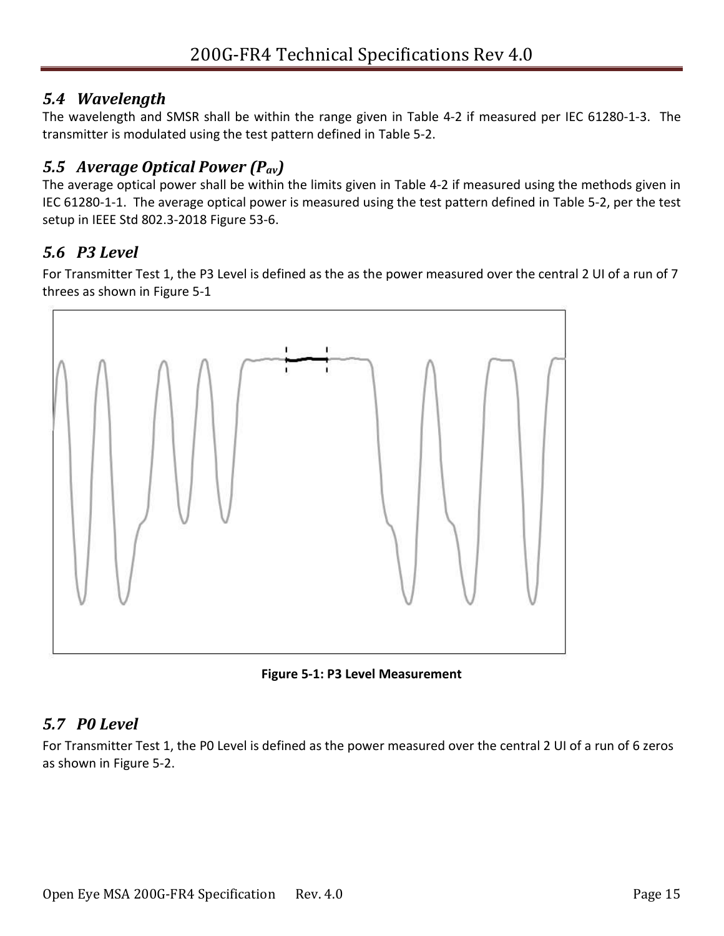### <span id="page-14-0"></span>*5.4 Wavelength*

The wavelength and SMSR shall be within the range given in [Table 4-2](#page-10-1) if measured per IEC 61280-1-3. The transmitter is modulated using the test pattern defined in [Table 5-2.](#page-13-5)

## <span id="page-14-1"></span>*5.5 Average Optical Power (Pav)*

The average optical power shall be within the limits given in [Table 4-2](#page-10-1) if measured using the methods given in IEC 61280-1-1. The average optical power is measured using the test pattern defined in [Table 5-2,](#page-13-5) per the test setup in IEEE Std 802.3-2018 Figure 53-6.

## <span id="page-14-2"></span>*5.6 P3 Level*

For Transmitter Test 1, the P3 Level is defined as the as the power measured over the central 2 UI of a run of 7 threes as shown in [Figure 5-1](#page-14-4)



**Figure 5-1: P3 Level Measurement** 

## <span id="page-14-4"></span><span id="page-14-3"></span>*5.7 P0 Level*

For Transmitter Test 1, the P0 Level is defined as the power measured over the central 2 UI of a run of 6 zeros as shown in [Figure 5-2.](#page-15-4)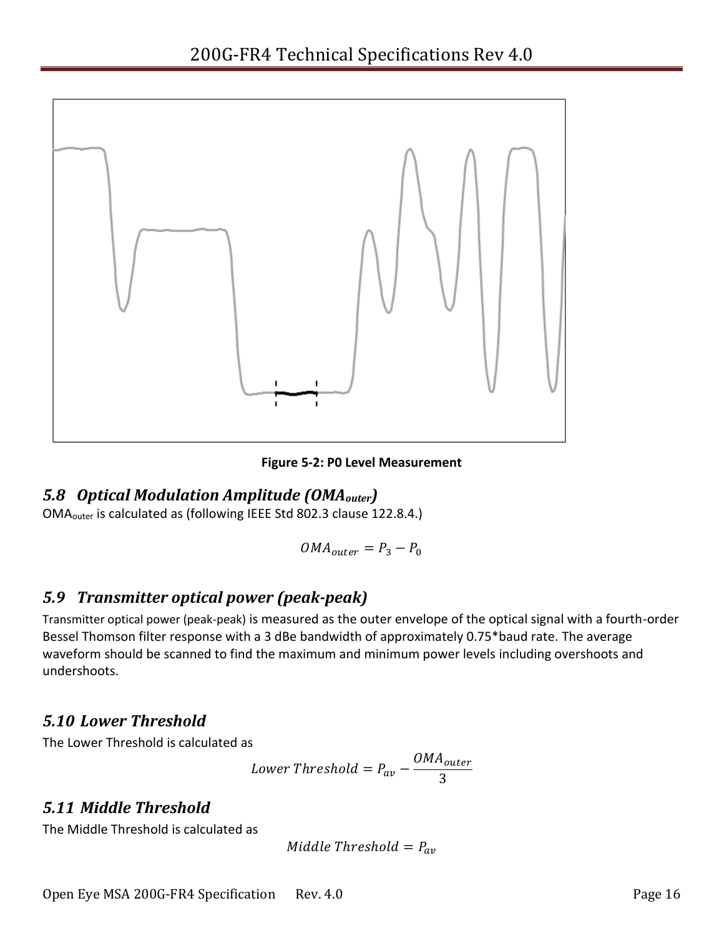

**Figure 5-2: P0 Level Measurement** 

#### <span id="page-15-4"></span><span id="page-15-0"></span>*5.8 Optical Modulation Amplitude (OMAouter)*

OMAouter is calculated as (following IEEE Std 802.3 clause 122.8.4.)

$$
OMA_{outer} = P_3 - P_0
$$

### <span id="page-15-1"></span>*5.9 Transmitter optical power (peak-peak)*

Transmitter optical power (peak-peak) is measured as the outer envelope of the optical signal with a fourth-order Bessel Thomson filter response with a 3 dBe bandwidth of approximately 0.75\*baud rate. The average waveform should be scanned to find the maximum and minimum power levels including overshoots and undershoots.

#### <span id="page-15-2"></span>*5.10 Lower Threshold*

The Lower Threshold is calculated as

Lower Threshold = 
$$
P_{av} - \frac{OMA_{outer}}{3}
$$

### <span id="page-15-3"></span>*5.11 Middle Threshold*

The Middle Threshold is calculated as

$$
Middle\ Threshold = P_{av}
$$

Open Eye MSA 200G-FR4 Specification Rev. 4.0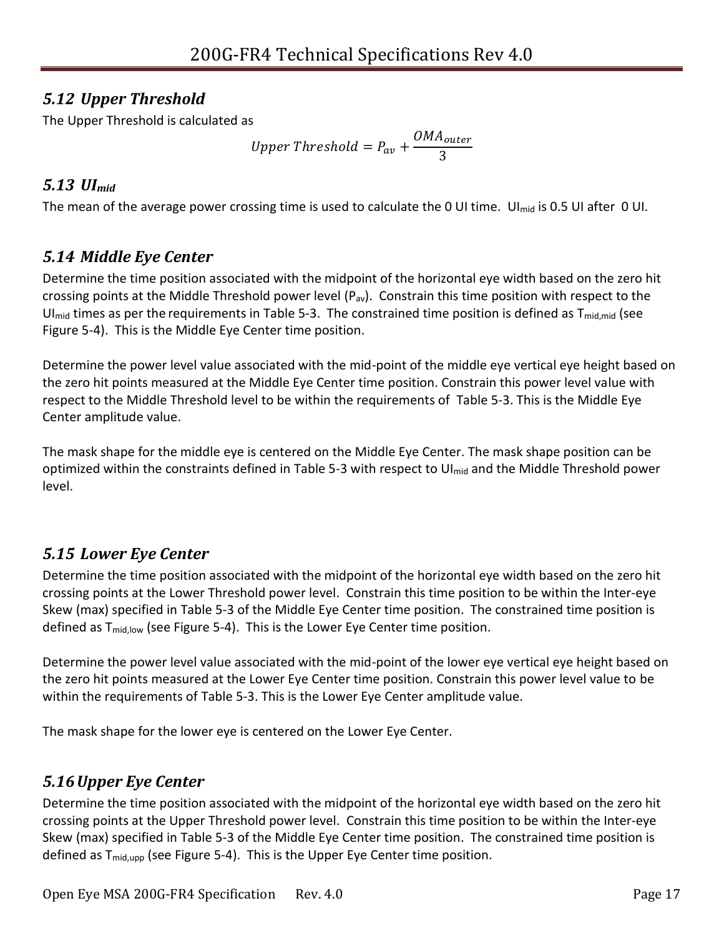## <span id="page-16-0"></span>*5.12 Upper Threshold*

The Upper Threshold is calculated as

Upper Threshold = 
$$
P_{av} + \frac{OMA_{outer}}{3}
$$

## <span id="page-16-1"></span>*5.13 UImid*

The mean of the average power crossing time is used to calculate the 0 UI time. UI<sub>mid</sub> is 0.5 UI after 0 UI.

## <span id="page-16-2"></span>*5.14 Middle Eye Center*

Determine the time position associated with the midpoint of the horizontal eye width based on the zero hit crossing points at the Middle Threshold power level  $(P_{av})$ . Constrain this time position with respect to the UI<sub>mid</sub> times as per the requirements in [Table 5-3.](#page-23-0) The constrained time position is defined as  $T_{mid, mid}$  (see [Figure 5-4\)](#page-22-0). This is the Middle Eye Center time position.

Determine the power level value associated with the mid-point of the middle eye vertical eye height based on the zero hit points measured at the Middle Eye Center time position. Constrain this power level value with respect to the Middle Threshold level to be within the requirements of [Table 5-3.](#page-23-0) This is the Middle Eye Center amplitude value.

The mask shape for the middle eye is centered on the Middle Eye Center. The mask shape position can be optimized within the constraints defined in [Table 5-3](#page-23-0) with respect to UI<sub>mid</sub> and the Middle Threshold power level.

## <span id="page-16-3"></span>*5.15 Lower Eye Center*

Determine the time position associated with the midpoint of the horizontal eye width based on the zero hit crossing points at the Lower Threshold power level. Constrain this time position to be within the Inter-eye Skew (max) specified in [Table 5-3](#page-23-0) of the Middle Eye Center time position. The constrained time position is defined as T<sub>mid,low</sub> (see [Figure 5-4\)](#page-22-0). This is the Lower Eye Center time position.

Determine the power level value associated with the mid-point of the lower eye vertical eye height based on the zero hit points measured at the Lower Eye Center time position. Constrain this power level value to be within the requirements of [Table 5-3.](#page-23-0) This is the Lower Eye Center amplitude value.

The mask shape for the lower eye is centered on the Lower Eye Center.

## <span id="page-16-4"></span>*5.16Upper Eye Center*

Determine the time position associated with the midpoint of the horizontal eye width based on the zero hit crossing points at the Upper Threshold power level. Constrain this time position to be within the Inter-eye Skew (max) specified in [Table 5-3](#page-23-0) of the Middle Eye Center time position. The constrained time position is defined as  $T_{mid,upp}$  (se[e Figure 5-4\)](#page-22-0). This is the Upper Eye Center time position.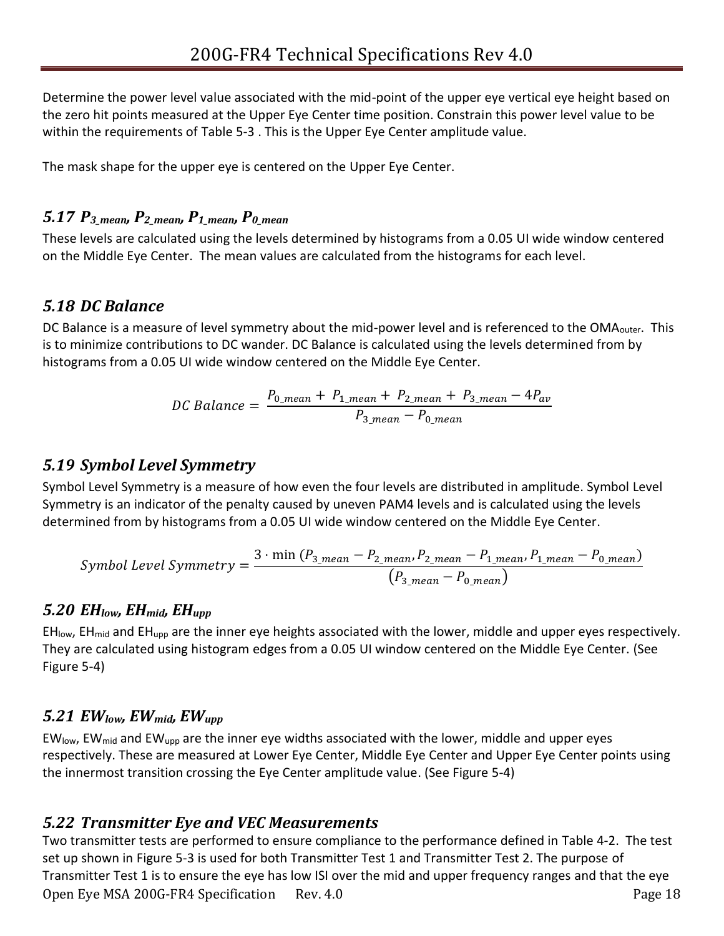Determine the power level value associated with the mid-point of the upper eye vertical eye height based on the zero hit points measured at the Upper Eye Center time position. Constrain this power level value to be within the requirements of [Table 5-3](#page-23-0) . This is the Upper Eye Center amplitude value.

The mask shape for the upper eye is centered on the Upper Eye Center.

### <span id="page-17-0"></span>*5.17 P3\_mean, P2\_mean, P1\_mean, P0\_mean*

These levels are calculated using the levels determined by histograms from a 0.05 UI wide window centered on the Middle Eye Center. The mean values are calculated from the histograms for each level.

#### <span id="page-17-1"></span>*5.18 DC Balance*

DC Balance is a measure of level symmetry about the mid-power level and is referenced to the OMA<sub>outer</sub>. This is to minimize contributions to DC wander. DC Balance is calculated using the levels determined from by histograms from a 0.05 UI wide window centered on the Middle Eye Center.

$$
DC \; Balance = \frac{P_{0\_mean} + P_{1\_mean} + P_{2\_mean} + P_{3\_mean} - 4P_{av}}{P_{3\_mean} - P_{0\_mean}}
$$

#### <span id="page-17-2"></span>*5.19 Symbol Level Symmetry*

Symbol Level Symmetry is a measure of how even the four levels are distributed in amplitude. Symbol Level Symmetry is an indicator of the penalty caused by uneven PAM4 levels and is calculated using the levels determined from by histograms from a 0.05 UI wide window centered on the Middle Eye Center.

$$
Symbol \ Level \ Symmetry = \frac{3 \cdot \min (P_{3\_mean} - P_{2\_mean}, P_{2\_mean} - P_{1\_mean}, P_{1\_mean} - P_{0\_mean})}{(P_{3\_mean} - P_{0\_mean})}
$$

#### <span id="page-17-3"></span>*5.20 EHlow, EHmid, EHupp*

 $EH_{\text{mod}}$  and EH<sub>upp</sub> are the inner eye heights associated with the lower, middle and upper eyes respectively. They are calculated using histogram edges from a 0.05 UI window centered on the Middle Eye Center. (See [Figure 5-4\)](#page-22-0)

#### <span id="page-17-4"></span>*5.21 EWlow, EWmid, EWupp*

 $EW_{low}$ , EW<sub>mid</sub> and EW<sub>upp</sub> are the inner eye widths associated with the lower, middle and upper eyes respectively. These are measured at Lower Eye Center, Middle Eye Center and Upper Eye Center points using the innermost transition crossing the Eye Center amplitude value. (See [Figure 5-4\)](#page-22-0)

#### <span id="page-17-6"></span><span id="page-17-5"></span>*5.22 Transmitter Eye and VEC Measurements*

Open Eye MSA 200G-FR4 Specification Rev. 4.0 Two transmitter tests are performed to ensure compliance to the performance defined in [Table 4-2.](#page-10-1) The test set up shown in [Figure 5-3](#page-18-1) is used for both Transmitter Test 1 and Transmitter Test 2. The purpose of Transmitter Test 1 is to ensure the eye has low ISI over the mid and upper frequency ranges and that the eye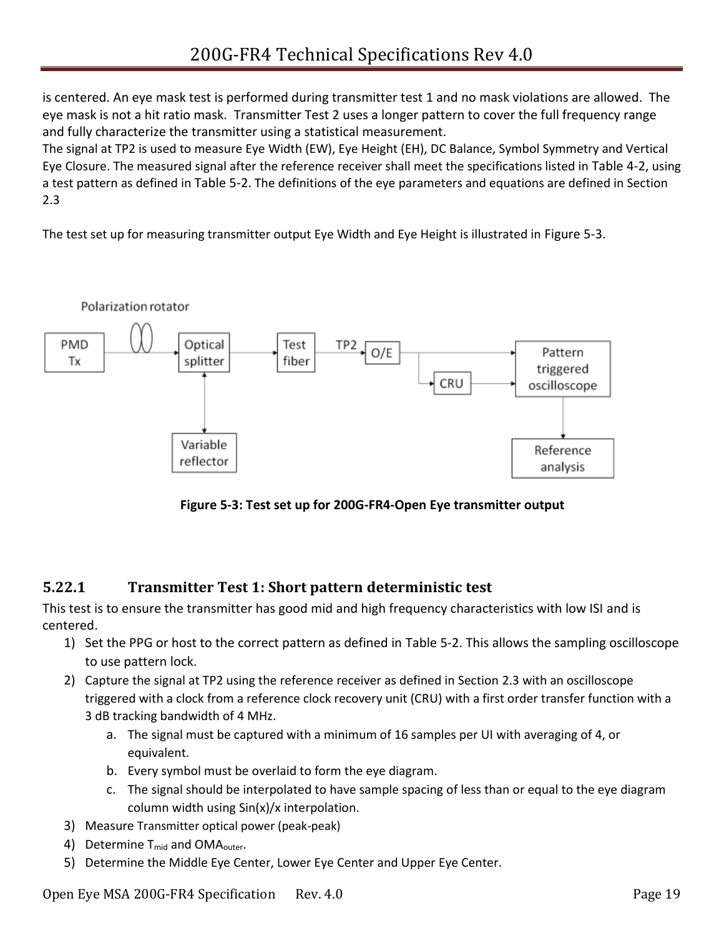is centered. An eye mask test is performed during transmitter test 1 and no mask violations are allowed. The eye mask is not a hit ratio mask. Transmitter Test 2 uses a longer pattern to cover the full frequency range and fully characterize the transmitter using a statistical measurement.

The signal at TP2 is used to measure Eye Width (EW), Eye Height (EH), DC Balance, Symbol Symmetry and Vertical Eye Closure. The measured signal after the reference receiver shall meet the specifications listed in [Table 4-2](#page-10-1), using a test pattern as defined in [Table 5-2](#page-13-5). The definitions of the eye parameters and equations are defined in Section [2.3](#page-6-0)

The test set up for measuring transmitter output Eye Width and Eye Height is illustrated in [Figure 5-3](#page-18-1).



**Figure 5-3: Test set up for 200G-FR4-Open Eye transmitter output**

#### <span id="page-18-1"></span><span id="page-18-0"></span>**5.22.1 Transmitter Test 1: Short pattern deterministic test**

This test is to ensure the transmitter has good mid and high frequency characteristics with low ISI and is centered.

- 1) Set the PPG or host to the correct pattern as defined in [Table 5-2.](#page-13-5) This allows the sampling oscilloscope to use pattern lock.
- 2) Capture the signal at TP2 using the reference receiver as defined in Section [2.3](#page-6-0) with an oscilloscope triggered with a clock from a reference clock recovery unit (CRU) with a first order transfer function with a 3 dB tracking bandwidth of 4 MHz.
	- a. The signal must be captured with a minimum of 16 samples per UI with averaging of 4, or equivalent.
	- b. Every symbol must be overlaid to form the eye diagram.
	- c. The signal should be interpolated to have sample spacing of less than or equal to the eye diagram column width using Sin(x)/x interpolation.
- 3) Measure Transmitter optical power (peak-peak)
- 4) Determine  $T_{mid}$  and OMA<sub>outer</sub>.
- 5) Determine the Middle Eye Center, Lower Eye Center and Upper Eye Center.

Open Eye MSA 200G-FR4 Specification Rev. 4.0 Page 19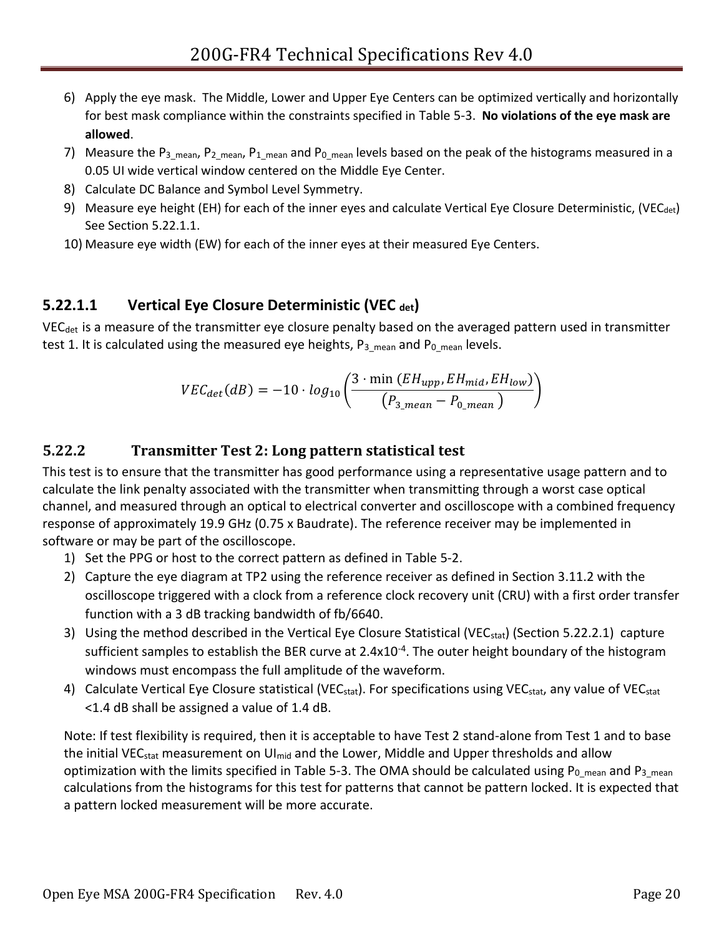- 6) Apply the eye mask. The Middle, Lower and Upper Eye Centers can be optimized vertically and horizontally for best mask compliance within the constraints specified in [Table 5-3](#page-23-0). **No violations of the eye mask are allowed**.
- 7) Measure the P<sub>3\_mean</sub>, P<sub>2\_mean</sub>, P<sub>1\_mean</sub> and P<sub>0\_mean</sub> levels based on the peak of the histograms measured in a 0.05 UI wide vertical window centered on the Middle Eye Center.
- 8) Calculate DC Balance and Symbol Level Symmetry.
- 9) Measure eye height (EH) for each of the inner eyes and calculate Vertical Eye Closure Deterministic, (VEC<sub>det</sub>) See Section [5.22.1.1.](#page-19-1)
- 10) Measure eye width (EW) for each of the inner eyes at their measured Eye Centers.

### <span id="page-19-1"></span>**5.22.1.1 Vertical Eye Closure Deterministic (VEC det)**

VEC<sub>det</sub> is a measure of the transmitter eye closure penalty based on the averaged pattern used in transmitter test 1. It is calculated using the measured eye heights,  $P_3$  <sub>mean</sub> and P<sub>0</sub> <sub>mean</sub> levels.

<span id="page-19-0"></span>
$$
VEC_{det}(dB) = -10 \cdot log_{10}\left(\frac{3 \cdot \min (EH_{upp}, EH_{mid}, EH_{low})}{(P_{3\_mean} - P_{0\_mean})}\right)
$$

#### **5.22.2 Transmitter Test 2: Long pattern statistical test**

This test is to ensure that the transmitter has good performance using a representative usage pattern and to calculate the link penalty associated with the transmitter when transmitting through a worst case optical channel, and measured through an optical to electrical converter and oscilloscope with a combined frequency response of approximately 19.9 GHz (0.75 x Baudrate). The reference receiver may be implemented in software or may be part of the oscilloscope.

- 1) Set the PPG or host to the correct pattern as defined in [Table 5-2.](#page-13-5)
- 2) Capture the eye diagram at TP2 using the reference receiver as defined in Section 3.11.2 with the oscilloscope triggered with a clock from a reference clock recovery unit (CRU) with a first order transfer function with a 3 dB tracking bandwidth of fb/6640.
- 3) Using the method described in the Vertical Eye Closure Statistical (VEC<sub>stat</sub>) (Section [5.22.2.1\)](#page-20-0) capture sufficient samples to establish the BER curve at 2.4x10<sup>-4</sup>. The outer height boundary of the histogram windows must encompass the full amplitude of the waveform.
- 4) Calculate Vertical Eye Closure statistical (VEC<sub>stat</sub>). For specifications using VEC<sub>stat</sub>, any value of VEC<sub>stat</sub> <1.4 dB shall be assigned a value of 1.4 dB.

Note: If test flexibility is required, then it is acceptable to have Test 2 stand-alone from Test 1 and to base the initial VEC<sub>stat</sub> measurement on UI<sub>mid</sub> and the Lower, Middle and Upper thresholds and allow optimization with the limits specified in [Table 5-3.](#page-23-0) The OMA should be calculated using  $P_{0\_mean}$  and  $P_{3\_mean}$ calculations from the histograms for this test for patterns that cannot be pattern locked. It is expected that a pattern locked measurement will be more accurate.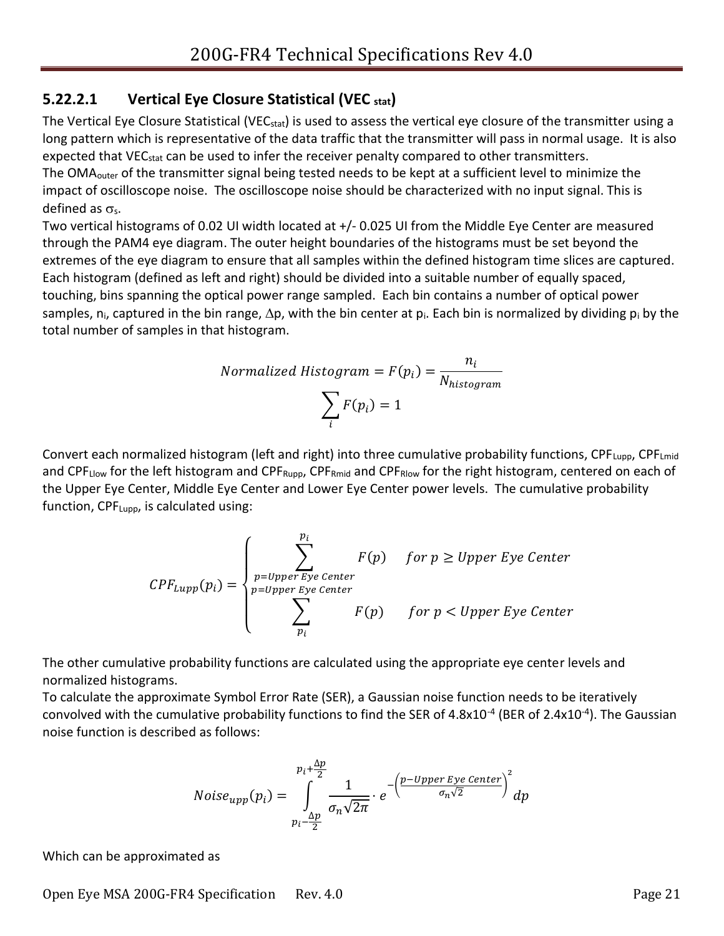#### <span id="page-20-0"></span>**5.22.2.1 Vertical Eye Closure Statistical (VEC stat)**

The Vertical Eye Closure Statistical (VEC<sub>stat</sub>) is used to assess the vertical eye closure of the transmitter using a long pattern which is representative of the data traffic that the transmitter will pass in normal usage. It is also expected that VEC<sub>stat</sub> can be used to infer the receiver penalty compared to other transmitters. The OMA<sub>outer</sub> of the transmitter signal being tested needs to be kept at a sufficient level to minimize the impact of oscilloscope noise. The oscilloscope noise should be characterized with no input signal. This is defined as  $\sigma_s$ .

Two vertical histograms of 0.02 UI width located at +/- 0.025 UI from the Middle Eye Center are measured through the PAM4 eye diagram. The outer height boundaries of the histograms must be set beyond the extremes of the eye diagram to ensure that all samples within the defined histogram time slices are captured. Each histogram (defined as left and right) should be divided into a suitable number of equally spaced, touching, bins spanning the optical power range sampled. Each bin contains a number of optical power samples, n<sub>i</sub>, captured in the bin range,  $\Delta p$ , with the bin center at p<sub>i</sub>. Each bin is normalized by dividing p<sub>i</sub> by the total number of samples in that histogram.

$$
Normalized Histogram = F(p_i) = \frac{n_i}{N_{histogram}}
$$

$$
\sum_{i} F(p_i) = 1
$$

Convert each normalized histogram (left and right) into three cumulative probability functions,  $\text{CPF}_{\text{Lupp}}$ ,  $\text{CPF}_{\text{Lmid}}$ and CPF<sub>Llow</sub> for the left histogram and CPF<sub>Rupp</sub>, CPF<sub>Rmid</sub> and CPF<sub>Rlow</sub> for the right histogram, centered on each of the Upper Eye Center, Middle Eye Center and Lower Eye Center power levels. The cumulative probability function, CPFLupp, is calculated using:

$$
CPF_{Lupp}(p_i) = \begin{cases} \sum_{p=Upper\,Eye\,Center}^{p_i} & \text{for } p \geq Upper\,Eye\,Center\\ \sum_{p=Upper\,Eye\,Center}^{p=Upper\,Eye\,Center} & \text{for } p < Upper\,Eye\,Center \end{cases}
$$

The other cumulative probability functions are calculated using the appropriate eye center levels and normalized histograms.

To calculate the approximate Symbol Error Rate (SER), a Gaussian noise function needs to be iteratively convolved with the cumulative probability functions to find the SER of 4.8x10<sup>-4</sup> (BER of 2.4x10<sup>-4</sup>). The Gaussian noise function is described as follows:

$$
Noise_{upp}(p_i) = \int_{p_i - \frac{\Delta p}{2}}^{p_i + \frac{\Delta p}{2}} \frac{1}{\sigma_n \sqrt{2\pi}} \cdot e^{-\left(\frac{p - Upper \, Eye \, Center}{\sigma_n \sqrt{2}}\right)^2} dp
$$

Which can be approximated as

Open Eye MSA 200G-FR4 Specification Rev. 4.0 Page 21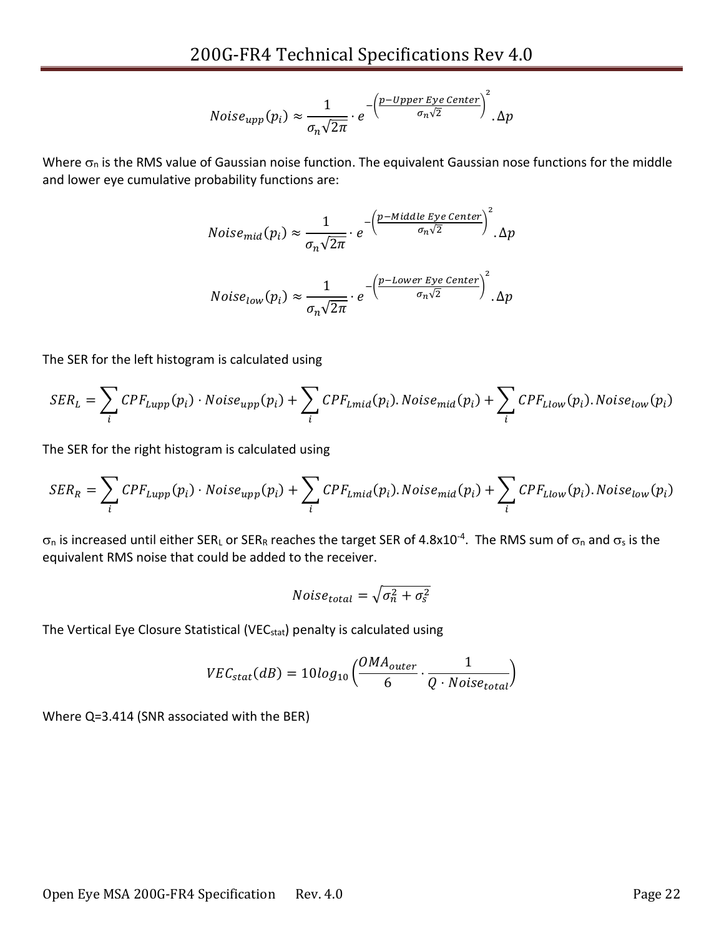$$
Noise_{upp}(p_i) \approx \frac{1}{\sigma_n \sqrt{2\pi}} \cdot e^{-\left(\frac{p-Upper\,Eye\,Center}{\sigma_n \sqrt{2}}\right)^2}.\Delta p
$$

Where  $\sigma_n$  is the RMS value of Gaussian noise function. The equivalent Gaussian nose functions for the middle and lower eye cumulative probability functions are:

$$
Noise_{mid}(p_i) \approx \frac{1}{\sigma_n \sqrt{2\pi}} \cdot e^{-\left(\frac{p - Middle\,Eye\,Center}{\sigma_n \sqrt{2}}\right)^2} \cdot \Delta p
$$
  

$$
Noise_{low}(p_i) \approx \frac{1}{\sqrt{2\pi}} \cdot e^{-\left(\frac{p - Lower\,Eye\,Center}{\sigma_n \sqrt{2}}\right)^2} \cdot \Delta p
$$

 $\sigma_n\sqrt{2\pi}$ 

The SER for the left histogram is calculated using

$$
SER_L = \sum_i CPF_{Lupp}(p_i) \cdot Noise_{upp}(p_i) + \sum_i CPF_{Lmid}(p_i).Noise_{mid}(p_i) + \sum_i CPF_{Llow}(p_i).Noise_{low}(p_i)
$$

The SER for the right histogram is calculated using

$$
SER_{R}=\sum_{i} CPF_{Lupp}(p_{i})\cdot Noise_{upp}(p_{i})+\sum_{i} CPF_{Lmid}(p_{i}).Noise_{mid}(p_{i})+\sum_{i} CPF_{Llow}(p_{i}).Noise_{low}(p_{i})
$$

 $\sigma_0$  is increased until either SER<sub>L</sub> or SER<sub>R</sub> reaches the target SER of 4.8x10<sup>-4</sup>. The RMS sum of  $\sigma_0$  and  $\sigma_ s$  is the equivalent RMS noise that could be added to the receiver.

$$
Noise_{total} = \sqrt{\sigma_n^2 + \sigma_s^2}
$$

The Vertical Eye Closure Statistical (VEC<sub>stat</sub>) penalty is calculated using

$$
VEC_{stat}(dB) = 10log_{10}\left(\frac{OMA_{outer}}{6} \cdot \frac{1}{Q \cdot Noise_{total}}\right)
$$

Where Q=3.414 (SNR associated with the BER)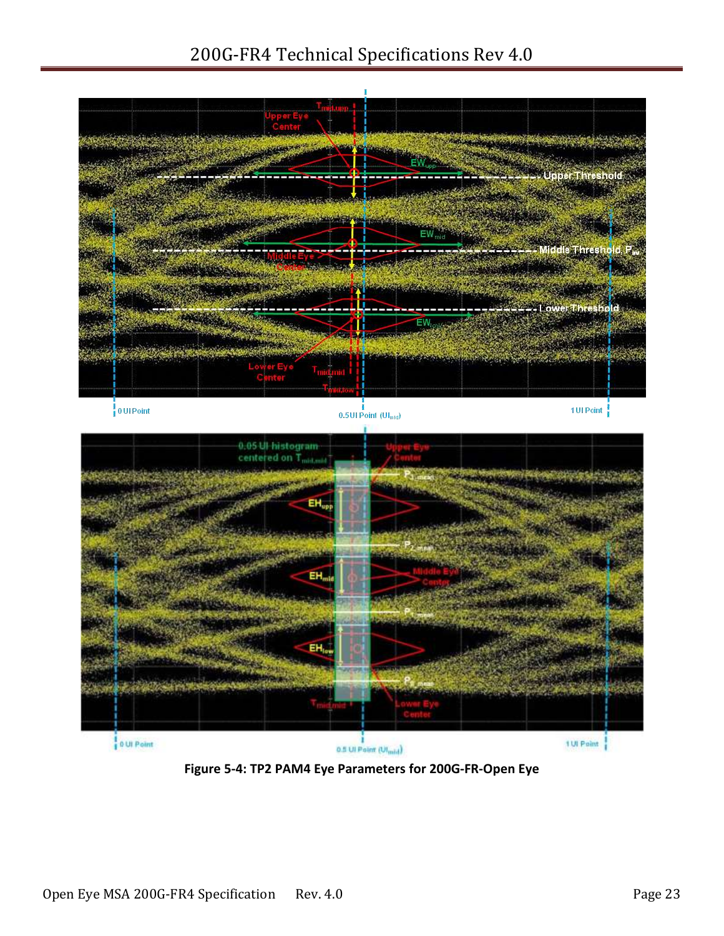## 200G-FR4 Technical Specifications Rev 4.0



<span id="page-22-0"></span>**Figure 5-4: TP2 PAM4 Eye Parameters for 200G-FR-Open Eye**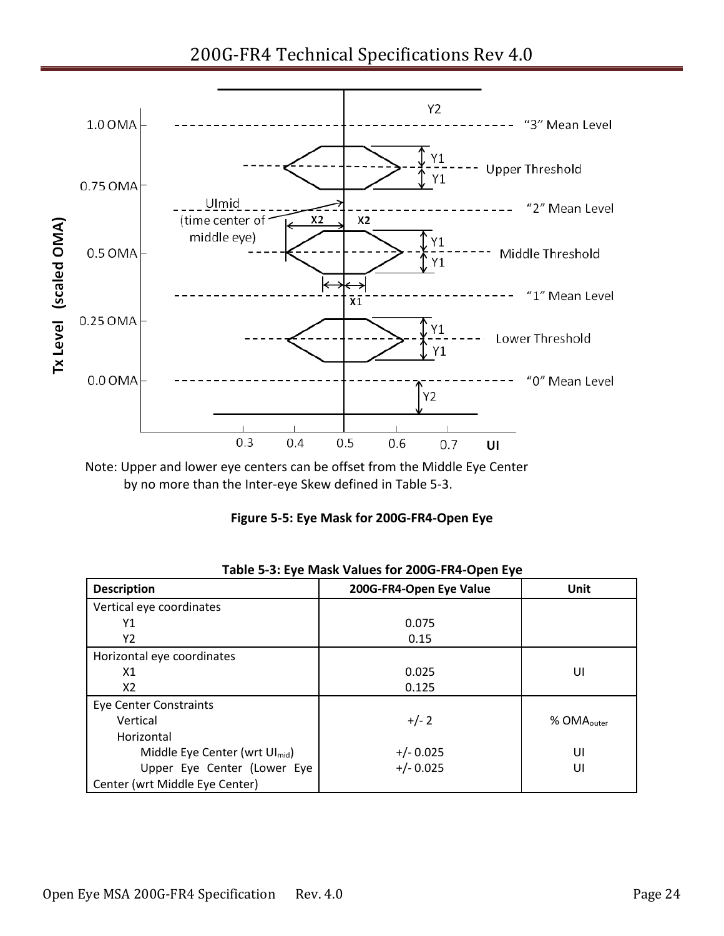200G-FR4 Technical Specifications Rev 4.0



<span id="page-23-1"></span>Note: Upper and lower eye centers can be offset from the Middle Eye Center by no more than the Inter-eye Skew defined in [Table 5-3.](#page-23-0)

|  |  | Figure 5-5: Eye Mask for 200G-FR4-Open Eye |  |
|--|--|--------------------------------------------|--|
|--|--|--------------------------------------------|--|

<span id="page-23-0"></span>

| <b>Description</b>                         | 200G-FR4-Open Eye Value | Unit                   |
|--------------------------------------------|-------------------------|------------------------|
| Vertical eye coordinates                   |                         |                        |
| Υ1                                         | 0.075                   |                        |
| Υ2                                         | 0.15                    |                        |
| Horizontal eye coordinates                 |                         |                        |
| X1                                         | 0.025                   | UI                     |
| X2                                         | 0.125                   |                        |
| <b>Eye Center Constraints</b>              |                         |                        |
| Vertical                                   | $+/- 2$                 | % OMA <sub>outer</sub> |
| Horizontal                                 |                         |                        |
| Middle Eye Center (wrt Ul <sub>mid</sub> ) | $+/- 0.025$             | UI                     |
| Upper Eye Center (Lower Eye                | $+/- 0.025$             | UI                     |
| Center (wrt Middle Eye Center)             |                         |                        |

|  | Table 5-3: Eye Mask Values for 200G-FR4-Open Eye |
|--|--------------------------------------------------|
|--|--------------------------------------------------|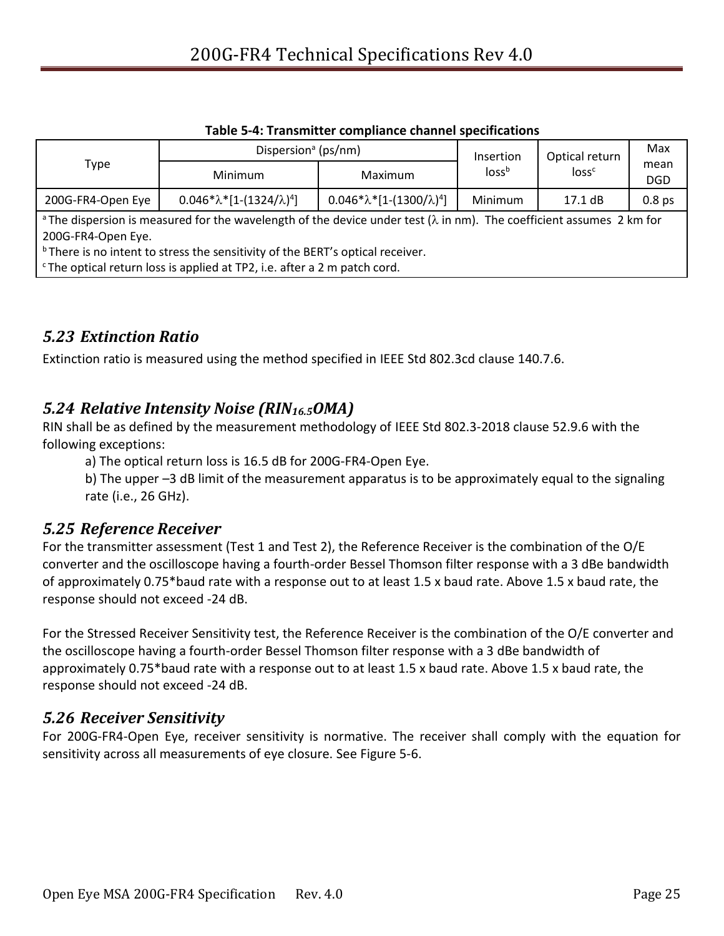<span id="page-24-4"></span>

|                                                                                                                                                                                                                                                                                                                                                     | Dispersion <sup>a</sup> (ps/nm)      |                                      | Insertion         | Optical return    | Max                |
|-----------------------------------------------------------------------------------------------------------------------------------------------------------------------------------------------------------------------------------------------------------------------------------------------------------------------------------------------------|--------------------------------------|--------------------------------------|-------------------|-------------------|--------------------|
| Type                                                                                                                                                                                                                                                                                                                                                | <b>Minimum</b>                       | Maximum                              | loss <sup>b</sup> | loss <sup>c</sup> | mean<br><b>DGD</b> |
| 200G-FR4-Open Eye                                                                                                                                                                                                                                                                                                                                   | $0.046*\lambda*[1-(1324/\lambda)^4]$ | $0.046*\lambda*[1-(1300/\lambda)^4]$ | Minimum           | $17.1 \text{ dB}$ | 0.8 <sub>ps</sub>  |
| <sup>a</sup> The dispersion is measured for the wavelength of the device under test ( $\lambda$ in nm). The coefficient assumes 2 km for<br>200G-FR4-Open Eye.<br><sup>b</sup> There is no intent to stress the sensitivity of the BERT's optical receiver.<br><sup>c</sup> The optical return loss is applied at TP2, i.e. after a 2 m patch cord. |                                      |                                      |                   |                   |                    |

#### **Table 5-4: Transmitter compliance channel specifications**

#### <span id="page-24-5"></span><span id="page-24-0"></span>*5.23 Extinction Ratio*

Extinction ratio is measured using the method specified in IEEE Std 802.3cd clause 140.7.6.

#### <span id="page-24-6"></span><span id="page-24-1"></span>*5.24 Relative Intensity Noise (RIN16.5OMA)*

RIN shall be as defined by the measurement methodology of IEEE Std 802.3-2018 clause 52.9.6 with the following exceptions:

a) The optical return loss is 16.5 dB for 200G-FR4-Open Eye.

<span id="page-24-2"></span>b) The upper –3 dB limit of the measurement apparatus is to be approximately equal to the signaling rate (i.e., 26 GHz).

#### *5.25 Reference Receiver*

For the transmitter assessment (Test 1 and Test 2), the Reference Receiver is the combination of the O/E converter and the oscilloscope having a fourth-order Bessel Thomson filter response with a 3 dBe bandwidth of approximately 0.75\*baud rate with a response out to at least 1.5 x baud rate. Above 1.5 x baud rate, the response should not exceed -24 dB.

For the Stressed Receiver Sensitivity test, the Reference Receiver is the combination of the O/E converter and the oscilloscope having a fourth-order Bessel Thomson filter response with a 3 dBe bandwidth of approximately 0.75\*baud rate with a response out to at least 1.5 x baud rate. Above 1.5 x baud rate, the response should not exceed -24 dB.

#### <span id="page-24-3"></span>*5.26 Receiver Sensitivity*

For 200G-FR4-Open Eye, receiver sensitivity is normative. The receiver shall comply with the equation for sensitivity across all measurements of eye closure. Se[e Figure 5-6.](#page-25-2)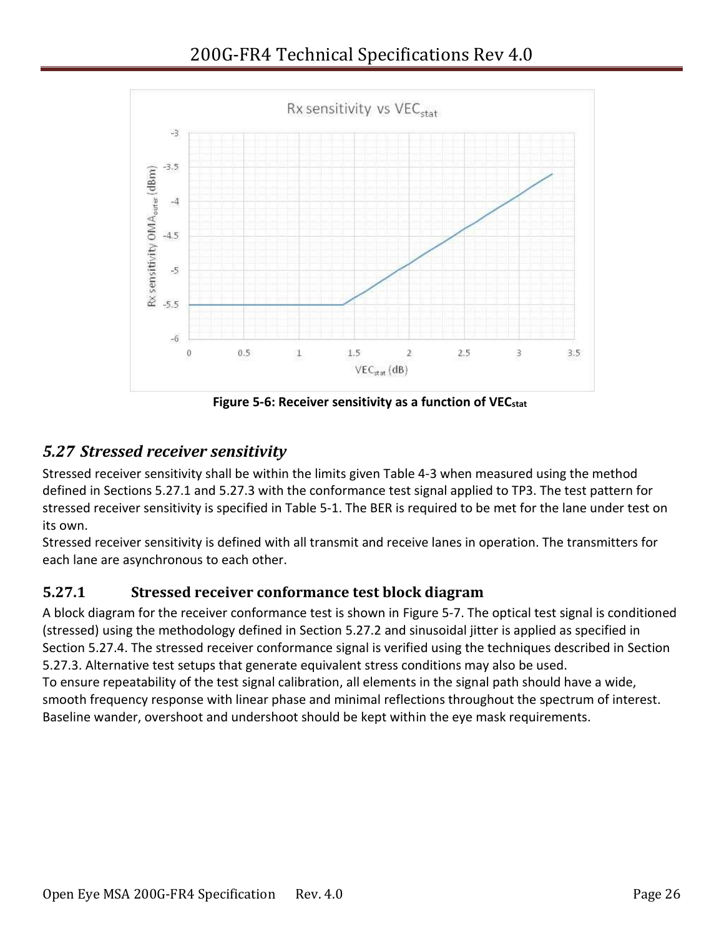

**Figure 5-6: Receiver sensitivity as a function of VECstat**

## <span id="page-25-2"></span><span id="page-25-0"></span>*5.27 Stressed receiver sensitivity*

Stressed receiver sensitivity shall be within the limits given [Table 4-3](#page-11-1) when measured using the method defined in Sections [5.27.1](#page-25-1) and [5.27.3](#page-27-0) with the conformance test signal applied to TP3. The test pattern for stressed receiver sensitivity is specified in [Table 5-1.](#page-13-4) The BER is required to be met for the lane under test on its own.

Stressed receiver sensitivity is defined with all transmit and receive lanes in operation. The transmitters for each lane are asynchronous to each other.

#### <span id="page-25-1"></span>**5.27.1 Stressed receiver conformance test block diagram**

A block diagram for the receiver conformance test is shown in [Figure 5-7.](#page-26-1) The optical test signal is conditioned (stressed) using the methodology defined in Section [5.27.2](#page-26-0) and sinusoidal jitter is applied as specified in Section [5.27.4.](#page-28-0) The stressed receiver conformance signal is verified using the techniques described in Section [5.27.3.](#page-27-0) Alternative test setups that generate equivalent stress conditions may also be used. To ensure repeatability of the test signal calibration, all elements in the signal path should have a wide,

smooth frequency response with linear phase and minimal reflections throughout the spectrum of interest. Baseline wander, overshoot and undershoot should be kept within the eye mask requirements.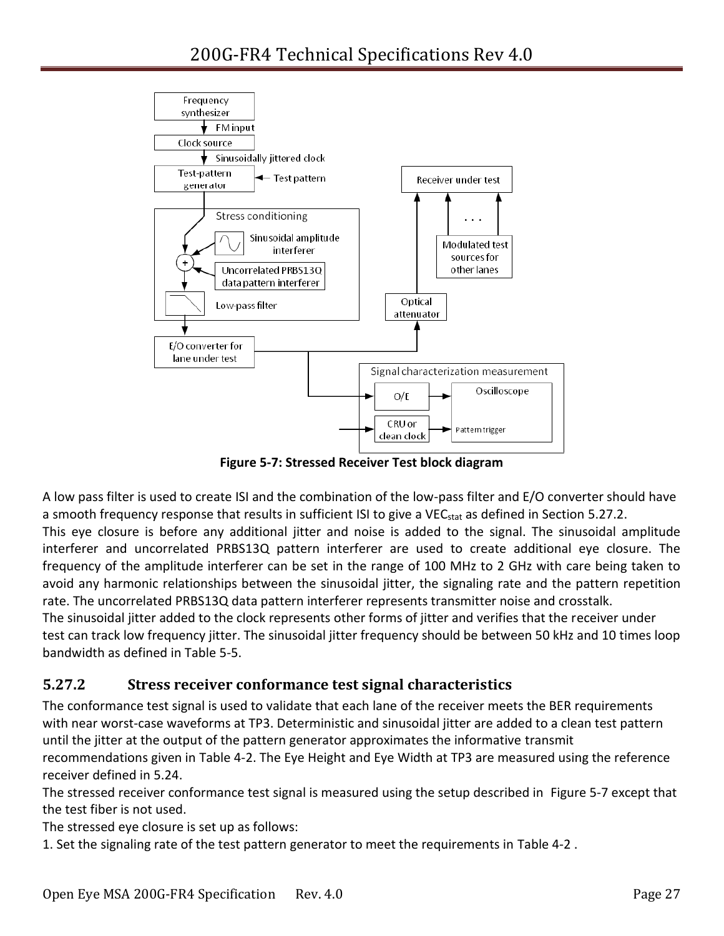

**Figure 5-7: Stressed Receiver Test block diagram**

<span id="page-26-1"></span>A low pass filter is used to create ISI and the combination of the low-pass filter and E/O converter should have a smooth frequency response that results in sufficient ISI to give a VEC<sub>stat</sub> as defined in Section [5.27.2.](#page-26-0) This eye closure is before any additional jitter and noise is added to the signal. The sinusoidal amplitude interferer and uncorrelated PRBS13Q pattern interferer are used to create additional eye closure. The frequency of the amplitude interferer can be set in the range of 100 MHz to 2 GHz with care being taken to avoid any harmonic relationships between the sinusoidal jitter, the signaling rate and the pattern repetition rate. The uncorrelated PRBS13Q data pattern interferer represents transmitter noise and crosstalk. The sinusoidal jitter added to the clock represents other forms of jitter and verifies that the receiver under test can track low frequency jitter. The sinusoidal jitter frequency should be between 50 kHz and 10 times loop bandwidth as defined in [Table 5-5.](#page-28-1)

#### <span id="page-26-0"></span>**5.27.2 Stress receiver conformance test signal characteristics**

The conformance test signal is used to validate that each lane of the receiver meets the BER requirements with near worst-case waveforms at TP3. Deterministic and sinusoidal jitter are added to a clean test pattern until the jitter at the output of the pattern generator approximates the informative transmit recommendations given in [Table 4-2.](#page-10-1) The Eye Height and Eye Width at TP3 are measured using the reference receiver defined in [5.24.](#page-24-6)

The stressed receiver conformance test signal is measured using the setup described in [Figure 5-7](#page-26-1) except that the test fiber is not used.

The stressed eye closure is set up as follows:

1. Set the signaling rate of the test pattern generator to meet the requirements in [Table 4-2](#page-10-1) .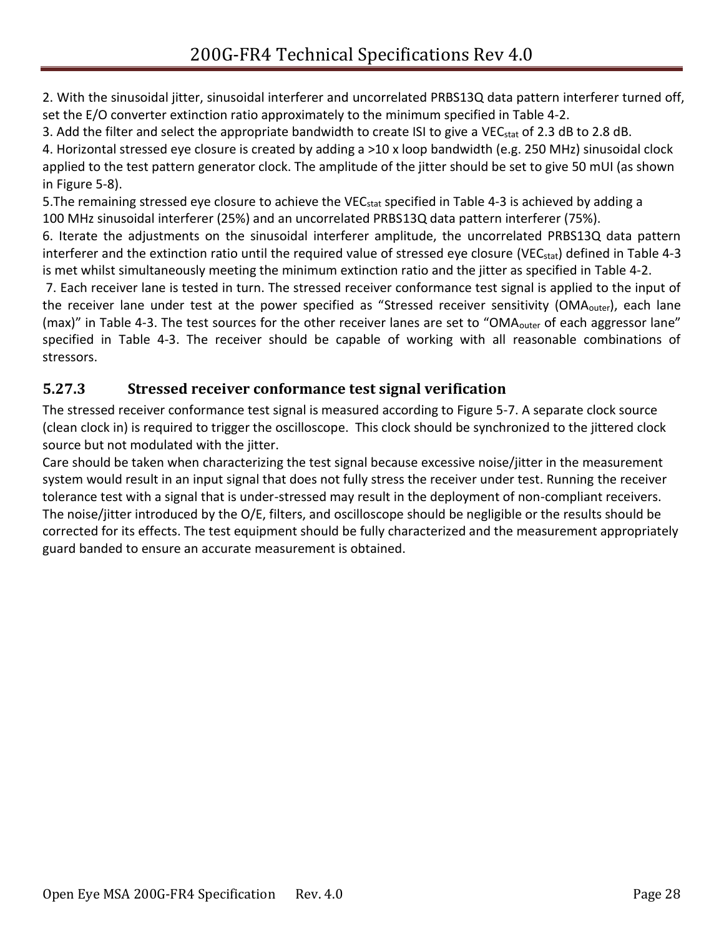2. With the sinusoidal jitter, sinusoidal interferer and uncorrelated PRBS13Q data pattern interferer turned off, set the E/O converter extinction ratio approximately to the minimum specified in [Table 4-2.](#page-10-1)

3. Add the filter and select the appropriate bandwidth to create ISI to give a VEC<sub>stat</sub> of 2.3 dB to 2.8 dB.

4. Horizontal stressed eye closure is created by adding a >10 x loop bandwidth (e.g. 250 MHz) sinusoidal clock applied to the test pattern generator clock. The amplitude of the jitter should be set to give 50 mUI (as shown in [Figure 5-8\)](#page-28-2).

5. The remaining stressed eye closure to achieve the VEC<sub>stat</sub> specified in [Table 4-3](#page-11-1) is achieved by adding a 100 MHz sinusoidal interferer (25%) and an uncorrelated PRBS13Q data pattern interferer (75%).

6. Iterate the adjustments on the sinusoidal interferer amplitude, the uncorrelated PRBS13Q data pattern interferer and the extinction ratio until the required value of stressed eye closure (VEC<sub>stat</sub>) defined in [Table 4-3](#page-11-1) is met whilst simultaneously meeting the minimum extinction ratio and the jitter as specified in [Table 4-2.](#page-10-1)

7. Each receiver lane is tested in turn. The stressed receiver conformance test signal is applied to the input of the receiver lane under test at the power specified as "Stressed receiver sensitivity (OMA<sub>outer</sub>), each lane (max)" in [Table 4-3](#page-11-1). The test sources for the other receiver lanes are set to "OMA<sub>outer</sub> of each aggressor lane" specified in [Table 4-3.](#page-11-1) The receiver should be capable of working with all reasonable combinations of stressors.

### <span id="page-27-0"></span>**5.27.3 Stressed receiver conformance test signal verification**

The stressed receiver conformance test signal is measured according to [Figure 5-7.](#page-26-1) A separate clock source (clean clock in) is required to trigger the oscilloscope. This clock should be synchronized to the jittered clock source but not modulated with the jitter.

Care should be taken when characterizing the test signal because excessive noise/jitter in the measurement system would result in an input signal that does not fully stress the receiver under test. Running the receiver tolerance test with a signal that is under-stressed may result in the deployment of non-compliant receivers. The noise/jitter introduced by the O/E, filters, and oscilloscope should be negligible or the results should be corrected for its effects. The test equipment should be fully characterized and the measurement appropriately guard banded to ensure an accurate measurement is obtained.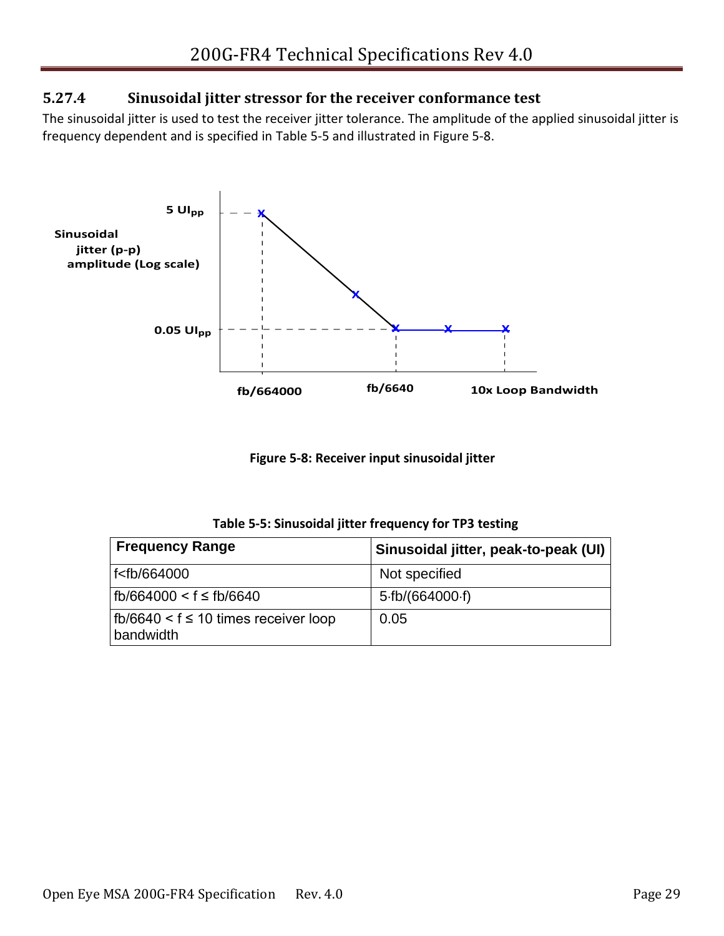#### <span id="page-28-0"></span>**5.27.4 Sinusoidal jitter stressor for the receiver conformance test**

The sinusoidal jitter is used to test the receiver jitter tolerance. The amplitude of the applied sinusoidal jitter is frequency dependent and is specified in [Table 5-5](#page-28-1) and illustrated in [Figure 5-8.](#page-28-2)



**Figure 5-8: Receiver input sinusoidal jitter**

| Table 5-5: Sinusoidal jitter frequency for TP3 testing |  |  |  |  |
|--------------------------------------------------------|--|--|--|--|
|--------------------------------------------------------|--|--|--|--|

<span id="page-28-2"></span><span id="page-28-1"></span>

| <b>Frequency Range</b>                                         | Sinusoidal jitter, peak-to-peak (UI) |
|----------------------------------------------------------------|--------------------------------------|
| f <fb 664000<="" td=""><td>Not specified</td></fb>             | Not specified                        |
| fb/664000 < f ≤ fb/6640                                        | 5·fb/(664000·f)                      |
| $\vert$ fb/6640 < f $\leq$ 10 times receiver loop<br>bandwidth | 0.05                                 |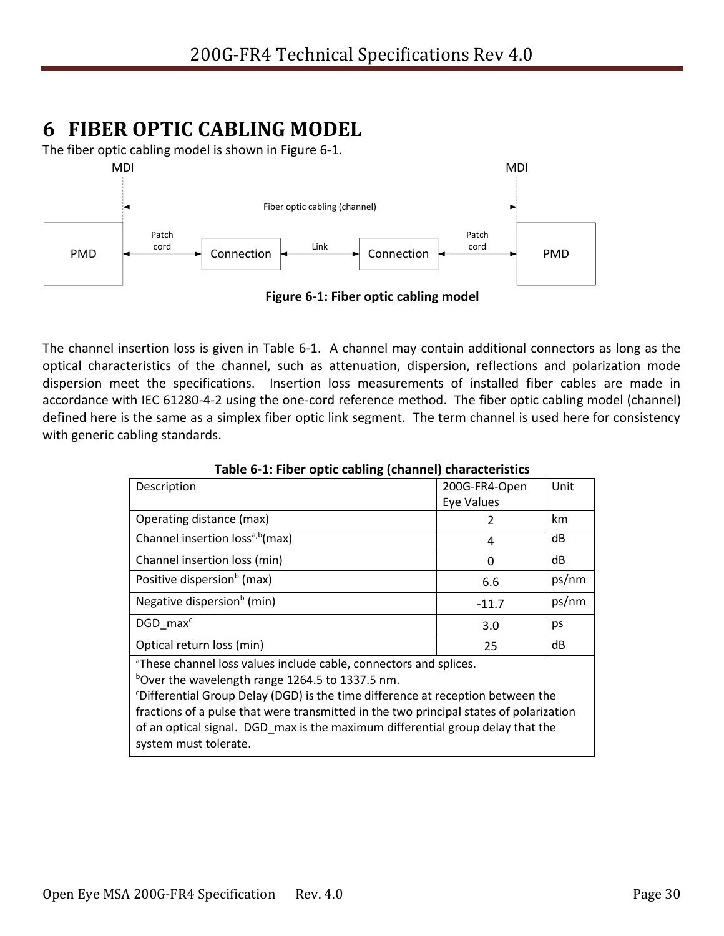# <span id="page-29-0"></span>**6 FIBER OPTIC CABLING MODEL**

The fiber optic cabling model is shown in [Figure 6-1.](#page-29-2)



<span id="page-29-2"></span>The channel insertion loss is given in [Table 6-1.](#page-29-1) A channel may contain additional connectors as long as the optical characteristics of the channel, such as attenuation, dispersion, reflections and polarization mode dispersion meet the specifications. Insertion loss measurements of installed fiber cables are made in accordance with IEC 61280-4-2 using the one-cord reference method. The fiber optic cabling model (channel) defined here is the same as a simplex fiber optic link segment. The term channel is used here for consistency with generic cabling standards.

<span id="page-29-1"></span>

| Description                                                                                 | 200G-FR4-Open     | Unit  |
|---------------------------------------------------------------------------------------------|-------------------|-------|
|                                                                                             | <b>Eye Values</b> |       |
| Operating distance (max)                                                                    | $\mathfrak z$     | km    |
| Channel insertion loss <sup>a,b</sup> (max)                                                 | 4                 | dB    |
| Channel insertion loss (min)                                                                | 0                 | dB    |
| Positive dispersion <sup>b</sup> (max)                                                      | 6.6               | ps/nm |
| Negative dispersion <sup>b</sup> (min)                                                      | $-11.7$           | ps/nm |
| DGD max <sup>c</sup>                                                                        | 3.0               | ps    |
| Optical return loss (min)                                                                   | 25                | dB    |
| <sup>a</sup> These channel loss values include cable, connectors and splices.               |                   |       |
| bover the wavelength range 1264.5 to 1337.5 nm.                                             |                   |       |
| <sup>c</sup> Differential Group Delay (DGD) is the time difference at reception between the |                   |       |
| fractions of a pulse that were transmitted in the two principal states of polarization      |                   |       |
| of an optical signal. DGD max is the maximum differential group delay that the              |                   |       |
| system must tolerate.                                                                       |                   |       |

**Table 6-1: Fiber optic cabling (channel) characteristics**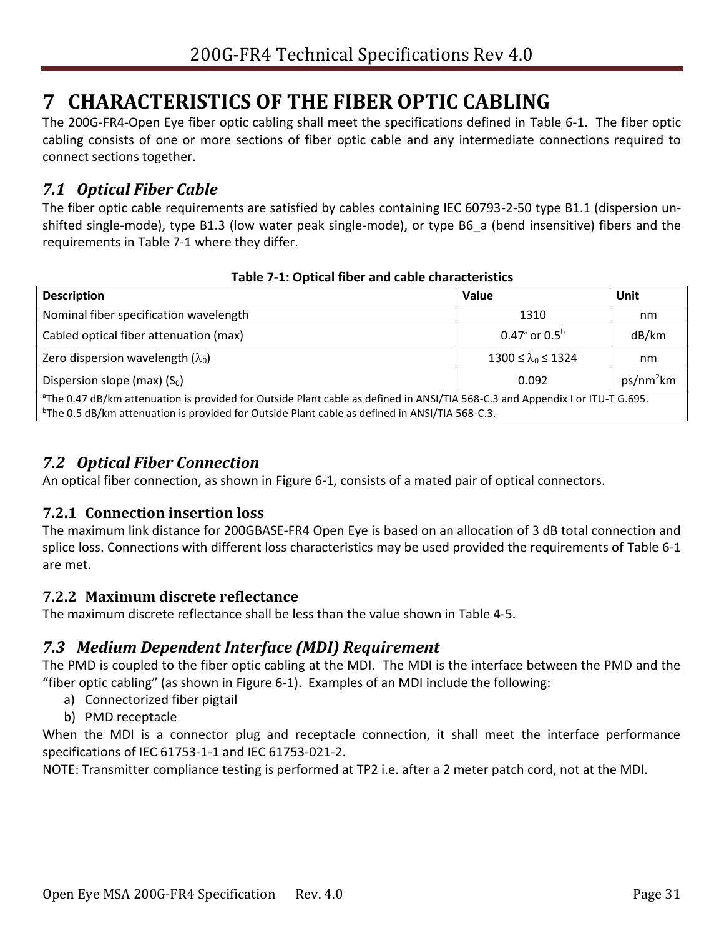# <span id="page-30-0"></span>**7 CHARACTERISTICS OF THE FIBER OPTIC CABLING**

The 200G-FR4-Open Eye fiber optic cabling shall meet the specifications defined in [Table 6-1.](#page-29-1) The fiber optic cabling consists of one or more sections of fiber optic cable and any intermediate connections required to connect sections together.

### <span id="page-30-1"></span>*7.1 Optical Fiber Cable*

The fiber optic cable requirements are satisfied by cables containing IEC 60793-2-50 type B1.1 (dispersion unshifted single-mode), type B1.3 (low water peak single-mode), or type B6\_a (bend insensitive) fibers and the requirements in [Table 7-1](#page-30-6) where they differ.

<span id="page-30-6"></span>

| <b>Description</b>                                                                                                                                                                                                                                      | Value                         | Unit                  |
|---------------------------------------------------------------------------------------------------------------------------------------------------------------------------------------------------------------------------------------------------------|-------------------------------|-----------------------|
| Nominal fiber specification wavelength                                                                                                                                                                                                                  | 1310                          | nm                    |
| Cabled optical fiber attenuation (max)                                                                                                                                                                                                                  | 0.47 $a$ or 0.5 $b$           | dB/km                 |
| Zero dispersion wavelength $(\lambda_0)$                                                                                                                                                                                                                | $1300 \le \lambda_0 \le 1324$ | nm                    |
| Dispersion slope (max) $(S0)$                                                                                                                                                                                                                           | 0.092                         | ps/nm <sup>2</sup> km |
| <sup>a</sup> The 0.47 dB/km attenuation is provided for Outside Plant cable as defined in ANSI/TIA 568-C.3 and Appendix I or ITU-T G.695.<br><sup>b</sup> The 0.5 dB/km attenuation is provided for Outside Plant cable as defined in ANSI/TIA 568-C.3. |                               |                       |

#### **Table 7-1: Optical fiber and cable characteristics**

### <span id="page-30-2"></span>*7.2 Optical Fiber Connection*

An optical fiber connection, as shown in [Figure 6-1,](#page-29-2) consists of a mated pair of optical connectors.

#### <span id="page-30-3"></span>**7.2.1 Connection insertion loss**

The maximum link distance for 200GBASE-FR4 Open Eye is based on an allocation of 3 dB total connection and splice loss. Connections with different loss characteristics may be used provided the requirements of [Table 6-1](#page-29-1) are met.

#### <span id="page-30-4"></span>**7.2.2 Maximum discrete reflectance**

The maximum discrete reflectance shall be less than the value shown in [Table 4-5.](#page-12-2)

### <span id="page-30-5"></span>*7.3 Medium Dependent Interface (MDI) Requirement*

The PMD is coupled to the fiber optic cabling at the MDI. The MDI is the interface between the PMD and the "fiber optic cabling" (as shown in [Figure 6-1\)](#page-29-2). Examples of an MDI include the following:

- a) Connectorized fiber pigtail
- b) PMD receptacle

When the MDI is a connector plug and receptacle connection, it shall meet the interface performance specifications of IEC 61753-1-1 and IEC 61753-021-2.

NOTE: Transmitter compliance testing is performed at TP2 i.e. after a 2 meter patch cord, not at the MDI.